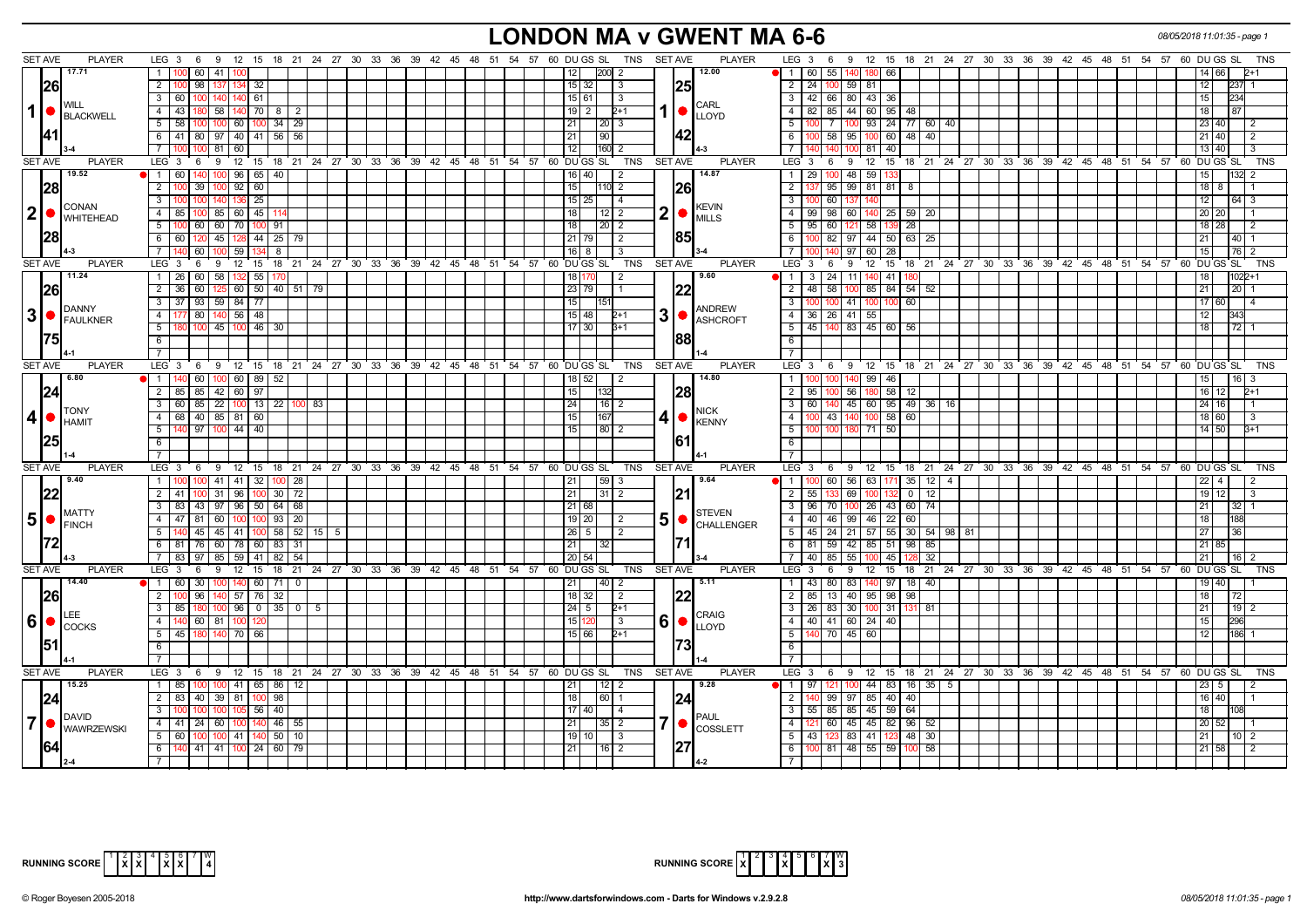## **LONDON MA v GWENT MA 6-6** *08/05/2018 11:01:35 - page 1*

| 12.00<br>17.71<br>$\overline{1}$<br>100 60 41 100<br>200<br>$\blacksquare$<br>60 55 140 180 66<br>14 66<br>12<br>-2<br>126<br>$\overline{2}$<br>24 100<br>98<br>32<br>$\overline{15}$   32<br>$\overline{2}$<br>59 81<br>12<br>-3<br>125<br>3   42   66   80   43   36<br>$3 \mid 60 \mid$<br>61<br>234<br>15 61<br>$\sqrt{3}$<br>15<br>$100$ $140$<br>140<br>I WILL<br>CARL<br>1<br>4 4 43 180 58 140 70 8 2<br>$19$   2<br>82   85   44   60   95   48  <br>87<br>$2+1$<br>$\sqrt{4}$<br> 18 <br>$\bullet$<br><b>LLOYD</b><br>$5 \mid 58 \mid$<br>100 7 100 93 24 77 60 40<br>100 100 60 100 34 29<br>$-5$<br>211<br>12013<br>  23   40  <br>12<br>42<br>6 41 80 97 40 41 56 56<br>100 58 95 100 60 48 40<br>6<br>21<br>90<br> 21 40<br>-2<br>$\overline{7}$<br>$\overline{12}$<br> 160 2<br>81 40<br>81 60<br>$7\overline{ }$<br>100 <sub>1</sub><br>13140<br>15 18 21 24 27 30 33 36 39 42 45 48 51 54 57 60 DUGS SL TNS<br>$12 \t15$<br><b>SET AVE</b><br><b>PLAYER</b><br>LEG <sub>3</sub><br>12<br><b>SET AVE</b><br><b>PLAYER</b><br>$LEG_3$ 6<br>18 21 24 27 30 33 36 39 42 45 48 51 54 57 60 DUGS SL<br><b>TNS</b><br>6<br>9<br>9<br>19.52<br>14.87<br>$1 \quad 60$<br>100 96 65 40<br>$16$ 40<br>29 100<br>48<br>59 1<br>2<br>$\overline{1}$<br>15<br> 28<br>$\overline{2}$<br>39 100 92<br>60<br> 26 <br>$\overline{2}$<br>99 81 81<br>$18$ 8<br>15 <sup>1</sup><br>110 2<br>137 95<br>8<br>3 <sup>1</sup><br>25<br>$15 \mid 25$<br>3<br>$\vert$ 4<br>100 60<br>  12  <br>64 3<br>136<br>137<br>11<br><b>CONAN</b><br>KEVIN<br>2 •<br>2<br>60 140 25 59 20<br>4 85<br>$100 \ 85 \ 60 \ 45 \ 1$<br>18 <sup>1</sup><br>$12$   2<br>$\overline{4}$<br>99 98<br>$\bullet$<br>20 20<br><b>WHITEHEAD</b><br><b>MILLS</b><br>$5-1$<br>18<br>$-5$<br>28<br>100 I<br>60 60 70 1<br>$100$ 91<br>$20$   2<br>95   60  <br>121  <br>58 1<br>  18   28<br> 28<br>6 6 6 120 45 128 44 25 79<br>21 79<br>6<br>100 82 97 44 50 63 25<br>l 2<br>1851<br>$40$   1<br> 21<br>7 <sup>1</sup><br>60 100 59<br>100 140 97 60 28<br>$16$   8<br>l 3<br>l 15 l<br>76 2<br>1341 8<br><b>SET AVE</b><br><b>PLAYER</b><br>LEG <sub>3</sub><br>6<br>12<br>15<br>18 21 24 27 30 33 36 39 42 45 48 51 54 57<br>60 DU GS SL<br>TNS<br><b>SET AVE</b><br><b>PLAYER</b><br>LEG 3<br>9<br>12 15 18 21 24 27 30 33 36 39 42 45 48 51 54 57<br>60 DU GS SL<br><b>TNS</b><br>9<br>6<br>11.24<br>1 26 60 58<br>132 55 170<br>9.60<br>$\sqrt{1}$<br>$3 \mid 24$<br>11 140 41<br>18 170<br>180<br>  18  <br>$1022 + 1$<br>$\sqrt{2}$<br>2 36 60 125 60 50 40 51 79<br>23 79<br>$48$ 58<br>100 85 84 54 52<br>$20$   1<br><b>126</b><br>122<br>$\overline{2}$<br>$\sqrt{21}$<br>$\overline{1}$<br>$3 \mid 37 \mid 93 \mid 59 \mid 84 \mid 77 \mid$<br>$\overline{\mathbf{3}}$<br>41 100 100 60<br>15<br>17 60<br>ANDREW<br>IDANNY<br>$3 \cdot \cdot \cdot$<br>3<br>80 140 56 48<br>$36 \mid 26 \mid 41 \mid 55$<br>4<br>177<br>15 48 <br>$\overline{4}$<br> 12 <br>343<br>2+1<br>$\bullet$<br><b>ASHCROFT</b><br>$5-1$<br>100 45 100 46 30<br>$17$   30<br>$\sqrt{5}$<br>45 140<br>83 45 60<br>72<br>$3+1$<br>56<br>18<br>6<br>6<br>iddi<br>$\overline{7}$<br>$\overline{7}$<br><b>PLAYER</b><br>LEG 3 6 9 12 15 18 21 24 27 30 33 36 39 42 45 48 51 54 57 60 DUGS SL TNS<br><b>PLAYER</b><br>$LEG_3$ 6<br><b>SET AVE</b><br><b>SET AVE</b><br>9 12 15 18 21 24 27 30 33 36 39 42 45 48 51 54 57 60 DUGS SL<br>TNS<br>6.80<br>60   100   60   89   52<br>14.80<br>$140$ 99 46<br>$18$ 52<br>  15  <br>  1  <br>l 2<br>$\overline{1}$<br>  16  <br>124<br>2   85   85   42   60   97<br>$\overline{2}$<br>56 180 58<br>12<br>15<br> 28<br>95   100<br>16 12<br>$2+1$<br>132<br>3 60 85 22 100 13 22 100 83<br>24<br>$\overline{\mathbf{3}}$<br>45 60 95 49 36 16<br>$16$   2<br>60   140<br>24 16<br><b>TONY</b><br><b>NICK</b><br>4 •<br>4 68 40 85 81 60<br>$\overline{4}$<br>100 43 140 100 58 60<br>15<br>167<br>18 60<br>41<br>  3<br>$\bullet$<br><b>HAMIT</b><br><b>KENNY</b><br>140 97 100 44 40<br>$5\vert$<br>$\left  \frac{80}{2} \right $<br>5<br>100 100 180 71 50<br>$14 \overline{)50}$<br>15 <sup>1</sup><br>$3+1$<br>125<br>1611<br>6<br>$\overline{6}$<br>$\overline{7}$<br>$7^{\circ}$<br><b>SET AVE</b><br>LEG 3  6  9  12  15  18  21  24  27  30  33  36  39  42  45  48  51  54  57  60  DUGS SL<br>TNS<br><b>PLAYER</b><br>LEG 3 6 9 12 15 18 21 24 27 30 33 36 39 42 45 48 51 54 57 60 DUGS SL<br><b>TNS</b><br><b>PLAYER</b><br><b>SET AVE</b><br>100 41 41 32 100 28<br>$100 \mid 60 \mid 56 \mid 63 \mid 171 \mid 35 \mid 12 \mid 4$<br>9.40<br>1<br>21<br> 59 3<br>9.64<br>$\blacksquare$<br>$22$ 4<br> 22<br>$0$   12<br>$2 \mid 41$<br>$31 \mid 96$<br>$100$ 30 $72$<br>21<br>$31$   2<br>1211<br>$\overline{2}$<br>55 133<br>69<br>19 12<br>$100$ $\cdot$<br>-3<br>3   83   43   97   96   50   64   68<br>21 68<br>96   70   100   26   43   60   74<br>3<br> 21<br>32<br>MATTY<br><b>STEVEN</b><br>$5$ $\bullet$ $\stackrel{\text{MAI}}{F\text{INCH}}$<br>5<br>99 46 22<br>4   47   81   60   100   100   93   20<br>$19$   20<br>$\overline{4}$<br>40 46<br>60<br>  18  <br>$\sqrt{2}$<br>$\bullet$<br><b>CHALLENGER</b><br>$-5$<br>45   24   21   57   55   30   54   98   81<br>5 <sup>1</sup><br>  45   45   41   100   58   52   15  <br>$26 \mid 5$<br>2<br>36<br>5<br>27<br>6 81 76 60 78 60 83 31<br>21<br>81   59   42   85   51   98   85<br>l 6<br>21 85<br>40 85 55 100 45<br>7   83   97   85   59   41   82  <br>20 54<br>$\overline{7}$<br>32<br>54<br>  21  <br>$16 \mid 2$<br><b>SET AVE</b><br><b>PLAYER</b><br><b>PLAYER</b><br>LEG 3  6  9  12  15  18  21  24  27  30  33  36  39  42  45  48  51  54  57  60  DUGS SL<br>TNS SET AVE<br>$LEG \cdot 3 \cdot 6$<br>9 12 15 18 21 24 27 30 33 36 39 42 45 48 51 54 57 60 DUGS SL<br>TNS<br>14.40<br>1 60 30 100 140<br>$60$   71  <br>40<br>5.11<br>83 140 97<br>$18$ 40<br>21<br>$\overline{1}$<br>43   80<br>19 40<br>$\mathbf 0$<br>-2<br>96 140 57 76 32<br>40 95 98<br><b>26</b><br>$\overline{2}$<br>$18 \mid 32$<br>$\overline{2}$<br>98<br>$\vert$ 2<br>85   13  <br>  18  <br>1በር<br>122<br>72<br>$100 \t96 \t0 \t35 \t0$<br>26 83 30 100 31 131 81<br>$3 \mid 85$<br>$24 \mid 5$<br>3<br>$19$ 2<br>$2+1$<br>21<br>- 5<br>LEE<br><b>CRAIG</b><br>$6$ $\bullet$<br>6<br>40 41 60 24 40<br>4 <sup>1</sup><br>140<br>60   81   100<br>15 12<br>3<br>$\overline{4}$<br>l 15<br>296<br>$\bullet$<br><b>I</b> COCKS<br><b>LLOYD</b><br>$\overline{5}$<br>5 <sup>1</sup><br>$45 \ 60$<br>45 180 140 70 66<br>15 66<br>$2+1$<br>140 70<br>186 1<br> 12 <br> 51<br>6<br>6<br>$\overline{7}$<br>$\overline{7}$<br><b>SET AVE</b><br><b>PLAYER</b><br>LEG 3 6 9 12 15 18 21 24 27 30 33 36 39 42 45 48 51 54 57 60 DUGS SL<br>TNS SET AVE<br><b>PLAYER</b><br>LEG 3 6 9 12 15 18 21 24 27 30 33 36 39 42 45 48 51 54 57 60 DUGS SL<br><b>TNS</b><br>15.25<br>1   85   100   100   41   65   86   12<br>9.28<br>$97 \mid 121 \mid 100 \mid 44 \mid 83 \mid 16 \mid 35 \mid 5$<br>21<br>$\overline{1}$<br>23 5<br>$\overline{2}$<br>2 83 40 39 81 100 98<br>97<br>85 40<br>40<br>124<br>18 <sup>1</sup><br>60   1<br>124<br>$\overline{2}$<br>140 99<br>16 40 <br>$3^{\circ}$<br>100 100 100 105 56 40<br>$\overline{\mathbf{3}}$<br>55 85 85 45 59<br>64<br>17   40  <br>18 I<br><b>4</b><br>DAVID<br><b>PAUL</b><br>7 •<br>7<br>4 41 24 60 100<br>$140$ 46 55<br>21<br>$-4$<br>$121$ 60<br>45 45 82 96 52<br>$35$   2<br>20 52<br>$\bullet$<br><b>COSSLETT</b><br><b>WAWRZEWSKI</b><br>$-5$<br>43   123   83   41   123   48   30<br>$5   60   100   100   41   140   50   10$<br>19   10  <br>$\vert$ 3<br> 21 <br>10 <sup>2</sup><br>$100$ 81 48 55 59<br>6<br>140 41 41 100 24 60 79<br>21<br>$16$   2<br>6<br>100 <sup>1</sup><br>58<br>21 58<br>$\overline{7}$ |                                 |                                                                                                                |                                                                                         |
|------------------------------------------------------------------------------------------------------------------------------------------------------------------------------------------------------------------------------------------------------------------------------------------------------------------------------------------------------------------------------------------------------------------------------------------------------------------------------------------------------------------------------------------------------------------------------------------------------------------------------------------------------------------------------------------------------------------------------------------------------------------------------------------------------------------------------------------------------------------------------------------------------------------------------------------------------------------------------------------------------------------------------------------------------------------------------------------------------------------------------------------------------------------------------------------------------------------------------------------------------------------------------------------------------------------------------------------------------------------------------------------------------------------------------------------------------------------------------------------------------------------------------------------------------------------------------------------------------------------------------------------------------------------------------------------------------------------------------------------------------------------------------------------------------------------------------------------------------------------------------------------------------------------------------------------------------------------------------------------------------------------------------------------------------------------------------------------------------------------------------------------------------------------------------------------------------------------------------------------------------------------------------------------------------------------------------------------------------------------------------------------------------------------------------------------------------------------------------------------------------------------------------------------------------------------------------------------------------------------------------------------------------------------------------------------------------------------------------------------------------------------------------------------------------------------------------------------------------------------------------------------------------------------------------------------------------------------------------------------------------------------------------------------------------------------------------------------------------------------------------------------------------------------------------------------------------------------------------------------------------------------------------------------------------------------------------------------------------------------------------------------------------------------------------------------------------------------------------------------------------------------------------------------------------------------------------------------------------------------------------------------------------------------------------------------------------------------------------------------------------------------------------------------------------------------------------------------------------------------------------------------------------------------------------------------------------------------------------------------------------------------------------------------------------------------------------------------------------------------------------------------------------------------------------------------------------------------------------------------------------------------------------------------------------------------------------------------------------------------------------------------------------------------------------------------------------------------------------------------------------------------------------------------------------------------------------------------------------------------------------------------------------------------------------------------------------------------------------------------------------------------------------------------------------------------------------------------------------------------------------------------------------------------------------------------------------------------------------------------------------------------------------------------------------------------------------------------------------------------------------------------------------------------------------------------------------------------------------------------------------------------------------------------------------------------------------------------------------------------------------------------------------------------------------------------------------------------------------------------------------------------------------------------------------------------------------------------------------------------------------------------------------------------------------------------------------------------------------------------------------------------------------------------------------------------------------------------------------------------------------------------------------------------------------------------------------------------------------------------------------------------------------------------------------------------------------------------------------------------------------------------------------------------------------------------------------------------------------------------------------------------------------------------------------------------------------------------------------------------------------------------------------------------------------------------------------------------------------------------------------------------------------------------------------------------------------------------------------------------------------------------------------------------------------------------------------------------------------------------------------------------------------------------------------------------------------------------------------------------------------------------------------------------------------------------------------------------------------------------------------------------------------------------------------------------------------------------------------------------------------------------------------------------------------------------------------------------------------------------------------------------------------------------------------------------------------------------------------------------------------------------------------------------------------------------------------------------------------------------------------------------------------------------------------------------------------------------------------------------------------------------------------------------------------------------------------------------------------------------|---------------------------------|----------------------------------------------------------------------------------------------------------------|-----------------------------------------------------------------------------------------|
|                                                                                                                                                                                                                                                                                                                                                                                                                                                                                                                                                                                                                                                                                                                                                                                                                                                                                                                                                                                                                                                                                                                                                                                                                                                                                                                                                                                                                                                                                                                                                                                                                                                                                                                                                                                                                                                                                                                                                                                                                                                                                                                                                                                                                                                                                                                                                                                                                                                                                                                                                                                                                                                                                                                                                                                                                                                                                                                                                                                                                                                                                                                                                                                                                                                                                                                                                                                                                                                                                                                                                                                                                                                                                                                                                                                                                                                                                                                                                                                                                                                                                                                                                                                                                                                                                                                                                                                                                                                                                                                                                                                                                                                                                                                                                                                                                                                                                                                                                                                                                                                                                                                                                                                                                                                                                                                                                                                                                                                                                                                                                                                                                                                                                                                                                                                                                                                                                                                                                                                                                                                                                                                                                                                                                                                                                                                                                                                                                                                                                                                                                                                                                                                                                                                                                                                                                                                                                                                                                                                                                                                                                                                                                                                                                                                                                                                                                                                                                                                                                                                                                                                                                                                                                                                                          | <b>SET AVE</b><br><b>PLAYER</b> | LEG 3 6 9 12 15 18 21 24 27 30 33 36 39 42 45 48 51 54 57 60 DUGS SL<br>TNS<br><b>SET AVE</b><br><b>PLAYER</b> | 9 12 15 18 21 24 27 30 33 36 39 42 45 48 51 54 57 60 DUGS SL<br><b>TNS</b><br>$LEG_3 6$ |
|                                                                                                                                                                                                                                                                                                                                                                                                                                                                                                                                                                                                                                                                                                                                                                                                                                                                                                                                                                                                                                                                                                                                                                                                                                                                                                                                                                                                                                                                                                                                                                                                                                                                                                                                                                                                                                                                                                                                                                                                                                                                                                                                                                                                                                                                                                                                                                                                                                                                                                                                                                                                                                                                                                                                                                                                                                                                                                                                                                                                                                                                                                                                                                                                                                                                                                                                                                                                                                                                                                                                                                                                                                                                                                                                                                                                                                                                                                                                                                                                                                                                                                                                                                                                                                                                                                                                                                                                                                                                                                                                                                                                                                                                                                                                                                                                                                                                                                                                                                                                                                                                                                                                                                                                                                                                                                                                                                                                                                                                                                                                                                                                                                                                                                                                                                                                                                                                                                                                                                                                                                                                                                                                                                                                                                                                                                                                                                                                                                                                                                                                                                                                                                                                                                                                                                                                                                                                                                                                                                                                                                                                                                                                                                                                                                                                                                                                                                                                                                                                                                                                                                                                                                                                                                                                          |                                 |                                                                                                                |                                                                                         |
|                                                                                                                                                                                                                                                                                                                                                                                                                                                                                                                                                                                                                                                                                                                                                                                                                                                                                                                                                                                                                                                                                                                                                                                                                                                                                                                                                                                                                                                                                                                                                                                                                                                                                                                                                                                                                                                                                                                                                                                                                                                                                                                                                                                                                                                                                                                                                                                                                                                                                                                                                                                                                                                                                                                                                                                                                                                                                                                                                                                                                                                                                                                                                                                                                                                                                                                                                                                                                                                                                                                                                                                                                                                                                                                                                                                                                                                                                                                                                                                                                                                                                                                                                                                                                                                                                                                                                                                                                                                                                                                                                                                                                                                                                                                                                                                                                                                                                                                                                                                                                                                                                                                                                                                                                                                                                                                                                                                                                                                                                                                                                                                                                                                                                                                                                                                                                                                                                                                                                                                                                                                                                                                                                                                                                                                                                                                                                                                                                                                                                                                                                                                                                                                                                                                                                                                                                                                                                                                                                                                                                                                                                                                                                                                                                                                                                                                                                                                                                                                                                                                                                                                                                                                                                                                                          |                                 |                                                                                                                |                                                                                         |
|                                                                                                                                                                                                                                                                                                                                                                                                                                                                                                                                                                                                                                                                                                                                                                                                                                                                                                                                                                                                                                                                                                                                                                                                                                                                                                                                                                                                                                                                                                                                                                                                                                                                                                                                                                                                                                                                                                                                                                                                                                                                                                                                                                                                                                                                                                                                                                                                                                                                                                                                                                                                                                                                                                                                                                                                                                                                                                                                                                                                                                                                                                                                                                                                                                                                                                                                                                                                                                                                                                                                                                                                                                                                                                                                                                                                                                                                                                                                                                                                                                                                                                                                                                                                                                                                                                                                                                                                                                                                                                                                                                                                                                                                                                                                                                                                                                                                                                                                                                                                                                                                                                                                                                                                                                                                                                                                                                                                                                                                                                                                                                                                                                                                                                                                                                                                                                                                                                                                                                                                                                                                                                                                                                                                                                                                                                                                                                                                                                                                                                                                                                                                                                                                                                                                                                                                                                                                                                                                                                                                                                                                                                                                                                                                                                                                                                                                                                                                                                                                                                                                                                                                                                                                                                                                          |                                 |                                                                                                                |                                                                                         |
|                                                                                                                                                                                                                                                                                                                                                                                                                                                                                                                                                                                                                                                                                                                                                                                                                                                                                                                                                                                                                                                                                                                                                                                                                                                                                                                                                                                                                                                                                                                                                                                                                                                                                                                                                                                                                                                                                                                                                                                                                                                                                                                                                                                                                                                                                                                                                                                                                                                                                                                                                                                                                                                                                                                                                                                                                                                                                                                                                                                                                                                                                                                                                                                                                                                                                                                                                                                                                                                                                                                                                                                                                                                                                                                                                                                                                                                                                                                                                                                                                                                                                                                                                                                                                                                                                                                                                                                                                                                                                                                                                                                                                                                                                                                                                                                                                                                                                                                                                                                                                                                                                                                                                                                                                                                                                                                                                                                                                                                                                                                                                                                                                                                                                                                                                                                                                                                                                                                                                                                                                                                                                                                                                                                                                                                                                                                                                                                                                                                                                                                                                                                                                                                                                                                                                                                                                                                                                                                                                                                                                                                                                                                                                                                                                                                                                                                                                                                                                                                                                                                                                                                                                                                                                                                                          |                                 |                                                                                                                |                                                                                         |
|                                                                                                                                                                                                                                                                                                                                                                                                                                                                                                                                                                                                                                                                                                                                                                                                                                                                                                                                                                                                                                                                                                                                                                                                                                                                                                                                                                                                                                                                                                                                                                                                                                                                                                                                                                                                                                                                                                                                                                                                                                                                                                                                                                                                                                                                                                                                                                                                                                                                                                                                                                                                                                                                                                                                                                                                                                                                                                                                                                                                                                                                                                                                                                                                                                                                                                                                                                                                                                                                                                                                                                                                                                                                                                                                                                                                                                                                                                                                                                                                                                                                                                                                                                                                                                                                                                                                                                                                                                                                                                                                                                                                                                                                                                                                                                                                                                                                                                                                                                                                                                                                                                                                                                                                                                                                                                                                                                                                                                                                                                                                                                                                                                                                                                                                                                                                                                                                                                                                                                                                                                                                                                                                                                                                                                                                                                                                                                                                                                                                                                                                                                                                                                                                                                                                                                                                                                                                                                                                                                                                                                                                                                                                                                                                                                                                                                                                                                                                                                                                                                                                                                                                                                                                                                                                          |                                 |                                                                                                                |                                                                                         |
|                                                                                                                                                                                                                                                                                                                                                                                                                                                                                                                                                                                                                                                                                                                                                                                                                                                                                                                                                                                                                                                                                                                                                                                                                                                                                                                                                                                                                                                                                                                                                                                                                                                                                                                                                                                                                                                                                                                                                                                                                                                                                                                                                                                                                                                                                                                                                                                                                                                                                                                                                                                                                                                                                                                                                                                                                                                                                                                                                                                                                                                                                                                                                                                                                                                                                                                                                                                                                                                                                                                                                                                                                                                                                                                                                                                                                                                                                                                                                                                                                                                                                                                                                                                                                                                                                                                                                                                                                                                                                                                                                                                                                                                                                                                                                                                                                                                                                                                                                                                                                                                                                                                                                                                                                                                                                                                                                                                                                                                                                                                                                                                                                                                                                                                                                                                                                                                                                                                                                                                                                                                                                                                                                                                                                                                                                                                                                                                                                                                                                                                                                                                                                                                                                                                                                                                                                                                                                                                                                                                                                                                                                                                                                                                                                                                                                                                                                                                                                                                                                                                                                                                                                                                                                                                                          |                                 |                                                                                                                |                                                                                         |
|                                                                                                                                                                                                                                                                                                                                                                                                                                                                                                                                                                                                                                                                                                                                                                                                                                                                                                                                                                                                                                                                                                                                                                                                                                                                                                                                                                                                                                                                                                                                                                                                                                                                                                                                                                                                                                                                                                                                                                                                                                                                                                                                                                                                                                                                                                                                                                                                                                                                                                                                                                                                                                                                                                                                                                                                                                                                                                                                                                                                                                                                                                                                                                                                                                                                                                                                                                                                                                                                                                                                                                                                                                                                                                                                                                                                                                                                                                                                                                                                                                                                                                                                                                                                                                                                                                                                                                                                                                                                                                                                                                                                                                                                                                                                                                                                                                                                                                                                                                                                                                                                                                                                                                                                                                                                                                                                                                                                                                                                                                                                                                                                                                                                                                                                                                                                                                                                                                                                                                                                                                                                                                                                                                                                                                                                                                                                                                                                                                                                                                                                                                                                                                                                                                                                                                                                                                                                                                                                                                                                                                                                                                                                                                                                                                                                                                                                                                                                                                                                                                                                                                                                                                                                                                                                          |                                 |                                                                                                                |                                                                                         |
|                                                                                                                                                                                                                                                                                                                                                                                                                                                                                                                                                                                                                                                                                                                                                                                                                                                                                                                                                                                                                                                                                                                                                                                                                                                                                                                                                                                                                                                                                                                                                                                                                                                                                                                                                                                                                                                                                                                                                                                                                                                                                                                                                                                                                                                                                                                                                                                                                                                                                                                                                                                                                                                                                                                                                                                                                                                                                                                                                                                                                                                                                                                                                                                                                                                                                                                                                                                                                                                                                                                                                                                                                                                                                                                                                                                                                                                                                                                                                                                                                                                                                                                                                                                                                                                                                                                                                                                                                                                                                                                                                                                                                                                                                                                                                                                                                                                                                                                                                                                                                                                                                                                                                                                                                                                                                                                                                                                                                                                                                                                                                                                                                                                                                                                                                                                                                                                                                                                                                                                                                                                                                                                                                                                                                                                                                                                                                                                                                                                                                                                                                                                                                                                                                                                                                                                                                                                                                                                                                                                                                                                                                                                                                                                                                                                                                                                                                                                                                                                                                                                                                                                                                                                                                                                                          |                                 |                                                                                                                |                                                                                         |
|                                                                                                                                                                                                                                                                                                                                                                                                                                                                                                                                                                                                                                                                                                                                                                                                                                                                                                                                                                                                                                                                                                                                                                                                                                                                                                                                                                                                                                                                                                                                                                                                                                                                                                                                                                                                                                                                                                                                                                                                                                                                                                                                                                                                                                                                                                                                                                                                                                                                                                                                                                                                                                                                                                                                                                                                                                                                                                                                                                                                                                                                                                                                                                                                                                                                                                                                                                                                                                                                                                                                                                                                                                                                                                                                                                                                                                                                                                                                                                                                                                                                                                                                                                                                                                                                                                                                                                                                                                                                                                                                                                                                                                                                                                                                                                                                                                                                                                                                                                                                                                                                                                                                                                                                                                                                                                                                                                                                                                                                                                                                                                                                                                                                                                                                                                                                                                                                                                                                                                                                                                                                                                                                                                                                                                                                                                                                                                                                                                                                                                                                                                                                                                                                                                                                                                                                                                                                                                                                                                                                                                                                                                                                                                                                                                                                                                                                                                                                                                                                                                                                                                                                                                                                                                                                          |                                 |                                                                                                                |                                                                                         |
|                                                                                                                                                                                                                                                                                                                                                                                                                                                                                                                                                                                                                                                                                                                                                                                                                                                                                                                                                                                                                                                                                                                                                                                                                                                                                                                                                                                                                                                                                                                                                                                                                                                                                                                                                                                                                                                                                                                                                                                                                                                                                                                                                                                                                                                                                                                                                                                                                                                                                                                                                                                                                                                                                                                                                                                                                                                                                                                                                                                                                                                                                                                                                                                                                                                                                                                                                                                                                                                                                                                                                                                                                                                                                                                                                                                                                                                                                                                                                                                                                                                                                                                                                                                                                                                                                                                                                                                                                                                                                                                                                                                                                                                                                                                                                                                                                                                                                                                                                                                                                                                                                                                                                                                                                                                                                                                                                                                                                                                                                                                                                                                                                                                                                                                                                                                                                                                                                                                                                                                                                                                                                                                                                                                                                                                                                                                                                                                                                                                                                                                                                                                                                                                                                                                                                                                                                                                                                                                                                                                                                                                                                                                                                                                                                                                                                                                                                                                                                                                                                                                                                                                                                                                                                                                                          |                                 |                                                                                                                |                                                                                         |
|                                                                                                                                                                                                                                                                                                                                                                                                                                                                                                                                                                                                                                                                                                                                                                                                                                                                                                                                                                                                                                                                                                                                                                                                                                                                                                                                                                                                                                                                                                                                                                                                                                                                                                                                                                                                                                                                                                                                                                                                                                                                                                                                                                                                                                                                                                                                                                                                                                                                                                                                                                                                                                                                                                                                                                                                                                                                                                                                                                                                                                                                                                                                                                                                                                                                                                                                                                                                                                                                                                                                                                                                                                                                                                                                                                                                                                                                                                                                                                                                                                                                                                                                                                                                                                                                                                                                                                                                                                                                                                                                                                                                                                                                                                                                                                                                                                                                                                                                                                                                                                                                                                                                                                                                                                                                                                                                                                                                                                                                                                                                                                                                                                                                                                                                                                                                                                                                                                                                                                                                                                                                                                                                                                                                                                                                                                                                                                                                                                                                                                                                                                                                                                                                                                                                                                                                                                                                                                                                                                                                                                                                                                                                                                                                                                                                                                                                                                                                                                                                                                                                                                                                                                                                                                                                          |                                 |                                                                                                                |                                                                                         |
|                                                                                                                                                                                                                                                                                                                                                                                                                                                                                                                                                                                                                                                                                                                                                                                                                                                                                                                                                                                                                                                                                                                                                                                                                                                                                                                                                                                                                                                                                                                                                                                                                                                                                                                                                                                                                                                                                                                                                                                                                                                                                                                                                                                                                                                                                                                                                                                                                                                                                                                                                                                                                                                                                                                                                                                                                                                                                                                                                                                                                                                                                                                                                                                                                                                                                                                                                                                                                                                                                                                                                                                                                                                                                                                                                                                                                                                                                                                                                                                                                                                                                                                                                                                                                                                                                                                                                                                                                                                                                                                                                                                                                                                                                                                                                                                                                                                                                                                                                                                                                                                                                                                                                                                                                                                                                                                                                                                                                                                                                                                                                                                                                                                                                                                                                                                                                                                                                                                                                                                                                                                                                                                                                                                                                                                                                                                                                                                                                                                                                                                                                                                                                                                                                                                                                                                                                                                                                                                                                                                                                                                                                                                                                                                                                                                                                                                                                                                                                                                                                                                                                                                                                                                                                                                                          |                                 |                                                                                                                |                                                                                         |
|                                                                                                                                                                                                                                                                                                                                                                                                                                                                                                                                                                                                                                                                                                                                                                                                                                                                                                                                                                                                                                                                                                                                                                                                                                                                                                                                                                                                                                                                                                                                                                                                                                                                                                                                                                                                                                                                                                                                                                                                                                                                                                                                                                                                                                                                                                                                                                                                                                                                                                                                                                                                                                                                                                                                                                                                                                                                                                                                                                                                                                                                                                                                                                                                                                                                                                                                                                                                                                                                                                                                                                                                                                                                                                                                                                                                                                                                                                                                                                                                                                                                                                                                                                                                                                                                                                                                                                                                                                                                                                                                                                                                                                                                                                                                                                                                                                                                                                                                                                                                                                                                                                                                                                                                                                                                                                                                                                                                                                                                                                                                                                                                                                                                                                                                                                                                                                                                                                                                                                                                                                                                                                                                                                                                                                                                                                                                                                                                                                                                                                                                                                                                                                                                                                                                                                                                                                                                                                                                                                                                                                                                                                                                                                                                                                                                                                                                                                                                                                                                                                                                                                                                                                                                                                                                          |                                 |                                                                                                                |                                                                                         |
|                                                                                                                                                                                                                                                                                                                                                                                                                                                                                                                                                                                                                                                                                                                                                                                                                                                                                                                                                                                                                                                                                                                                                                                                                                                                                                                                                                                                                                                                                                                                                                                                                                                                                                                                                                                                                                                                                                                                                                                                                                                                                                                                                                                                                                                                                                                                                                                                                                                                                                                                                                                                                                                                                                                                                                                                                                                                                                                                                                                                                                                                                                                                                                                                                                                                                                                                                                                                                                                                                                                                                                                                                                                                                                                                                                                                                                                                                                                                                                                                                                                                                                                                                                                                                                                                                                                                                                                                                                                                                                                                                                                                                                                                                                                                                                                                                                                                                                                                                                                                                                                                                                                                                                                                                                                                                                                                                                                                                                                                                                                                                                                                                                                                                                                                                                                                                                                                                                                                                                                                                                                                                                                                                                                                                                                                                                                                                                                                                                                                                                                                                                                                                                                                                                                                                                                                                                                                                                                                                                                                                                                                                                                                                                                                                                                                                                                                                                                                                                                                                                                                                                                                                                                                                                                                          |                                 |                                                                                                                |                                                                                         |
|                                                                                                                                                                                                                                                                                                                                                                                                                                                                                                                                                                                                                                                                                                                                                                                                                                                                                                                                                                                                                                                                                                                                                                                                                                                                                                                                                                                                                                                                                                                                                                                                                                                                                                                                                                                                                                                                                                                                                                                                                                                                                                                                                                                                                                                                                                                                                                                                                                                                                                                                                                                                                                                                                                                                                                                                                                                                                                                                                                                                                                                                                                                                                                                                                                                                                                                                                                                                                                                                                                                                                                                                                                                                                                                                                                                                                                                                                                                                                                                                                                                                                                                                                                                                                                                                                                                                                                                                                                                                                                                                                                                                                                                                                                                                                                                                                                                                                                                                                                                                                                                                                                                                                                                                                                                                                                                                                                                                                                                                                                                                                                                                                                                                                                                                                                                                                                                                                                                                                                                                                                                                                                                                                                                                                                                                                                                                                                                                                                                                                                                                                                                                                                                                                                                                                                                                                                                                                                                                                                                                                                                                                                                                                                                                                                                                                                                                                                                                                                                                                                                                                                                                                                                                                                                                          |                                 |                                                                                                                |                                                                                         |
|                                                                                                                                                                                                                                                                                                                                                                                                                                                                                                                                                                                                                                                                                                                                                                                                                                                                                                                                                                                                                                                                                                                                                                                                                                                                                                                                                                                                                                                                                                                                                                                                                                                                                                                                                                                                                                                                                                                                                                                                                                                                                                                                                                                                                                                                                                                                                                                                                                                                                                                                                                                                                                                                                                                                                                                                                                                                                                                                                                                                                                                                                                                                                                                                                                                                                                                                                                                                                                                                                                                                                                                                                                                                                                                                                                                                                                                                                                                                                                                                                                                                                                                                                                                                                                                                                                                                                                                                                                                                                                                                                                                                                                                                                                                                                                                                                                                                                                                                                                                                                                                                                                                                                                                                                                                                                                                                                                                                                                                                                                                                                                                                                                                                                                                                                                                                                                                                                                                                                                                                                                                                                                                                                                                                                                                                                                                                                                                                                                                                                                                                                                                                                                                                                                                                                                                                                                                                                                                                                                                                                                                                                                                                                                                                                                                                                                                                                                                                                                                                                                                                                                                                                                                                                                                                          |                                 |                                                                                                                |                                                                                         |
|                                                                                                                                                                                                                                                                                                                                                                                                                                                                                                                                                                                                                                                                                                                                                                                                                                                                                                                                                                                                                                                                                                                                                                                                                                                                                                                                                                                                                                                                                                                                                                                                                                                                                                                                                                                                                                                                                                                                                                                                                                                                                                                                                                                                                                                                                                                                                                                                                                                                                                                                                                                                                                                                                                                                                                                                                                                                                                                                                                                                                                                                                                                                                                                                                                                                                                                                                                                                                                                                                                                                                                                                                                                                                                                                                                                                                                                                                                                                                                                                                                                                                                                                                                                                                                                                                                                                                                                                                                                                                                                                                                                                                                                                                                                                                                                                                                                                                                                                                                                                                                                                                                                                                                                                                                                                                                                                                                                                                                                                                                                                                                                                                                                                                                                                                                                                                                                                                                                                                                                                                                                                                                                                                                                                                                                                                                                                                                                                                                                                                                                                                                                                                                                                                                                                                                                                                                                                                                                                                                                                                                                                                                                                                                                                                                                                                                                                                                                                                                                                                                                                                                                                                                                                                                                                          |                                 |                                                                                                                |                                                                                         |
|                                                                                                                                                                                                                                                                                                                                                                                                                                                                                                                                                                                                                                                                                                                                                                                                                                                                                                                                                                                                                                                                                                                                                                                                                                                                                                                                                                                                                                                                                                                                                                                                                                                                                                                                                                                                                                                                                                                                                                                                                                                                                                                                                                                                                                                                                                                                                                                                                                                                                                                                                                                                                                                                                                                                                                                                                                                                                                                                                                                                                                                                                                                                                                                                                                                                                                                                                                                                                                                                                                                                                                                                                                                                                                                                                                                                                                                                                                                                                                                                                                                                                                                                                                                                                                                                                                                                                                                                                                                                                                                                                                                                                                                                                                                                                                                                                                                                                                                                                                                                                                                                                                                                                                                                                                                                                                                                                                                                                                                                                                                                                                                                                                                                                                                                                                                                                                                                                                                                                                                                                                                                                                                                                                                                                                                                                                                                                                                                                                                                                                                                                                                                                                                                                                                                                                                                                                                                                                                                                                                                                                                                                                                                                                                                                                                                                                                                                                                                                                                                                                                                                                                                                                                                                                                                          |                                 |                                                                                                                |                                                                                         |
|                                                                                                                                                                                                                                                                                                                                                                                                                                                                                                                                                                                                                                                                                                                                                                                                                                                                                                                                                                                                                                                                                                                                                                                                                                                                                                                                                                                                                                                                                                                                                                                                                                                                                                                                                                                                                                                                                                                                                                                                                                                                                                                                                                                                                                                                                                                                                                                                                                                                                                                                                                                                                                                                                                                                                                                                                                                                                                                                                                                                                                                                                                                                                                                                                                                                                                                                                                                                                                                                                                                                                                                                                                                                                                                                                                                                                                                                                                                                                                                                                                                                                                                                                                                                                                                                                                                                                                                                                                                                                                                                                                                                                                                                                                                                                                                                                                                                                                                                                                                                                                                                                                                                                                                                                                                                                                                                                                                                                                                                                                                                                                                                                                                                                                                                                                                                                                                                                                                                                                                                                                                                                                                                                                                                                                                                                                                                                                                                                                                                                                                                                                                                                                                                                                                                                                                                                                                                                                                                                                                                                                                                                                                                                                                                                                                                                                                                                                                                                                                                                                                                                                                                                                                                                                                                          |                                 |                                                                                                                |                                                                                         |
|                                                                                                                                                                                                                                                                                                                                                                                                                                                                                                                                                                                                                                                                                                                                                                                                                                                                                                                                                                                                                                                                                                                                                                                                                                                                                                                                                                                                                                                                                                                                                                                                                                                                                                                                                                                                                                                                                                                                                                                                                                                                                                                                                                                                                                                                                                                                                                                                                                                                                                                                                                                                                                                                                                                                                                                                                                                                                                                                                                                                                                                                                                                                                                                                                                                                                                                                                                                                                                                                                                                                                                                                                                                                                                                                                                                                                                                                                                                                                                                                                                                                                                                                                                                                                                                                                                                                                                                                                                                                                                                                                                                                                                                                                                                                                                                                                                                                                                                                                                                                                                                                                                                                                                                                                                                                                                                                                                                                                                                                                                                                                                                                                                                                                                                                                                                                                                                                                                                                                                                                                                                                                                                                                                                                                                                                                                                                                                                                                                                                                                                                                                                                                                                                                                                                                                                                                                                                                                                                                                                                                                                                                                                                                                                                                                                                                                                                                                                                                                                                                                                                                                                                                                                                                                                                          |                                 |                                                                                                                |                                                                                         |
|                                                                                                                                                                                                                                                                                                                                                                                                                                                                                                                                                                                                                                                                                                                                                                                                                                                                                                                                                                                                                                                                                                                                                                                                                                                                                                                                                                                                                                                                                                                                                                                                                                                                                                                                                                                                                                                                                                                                                                                                                                                                                                                                                                                                                                                                                                                                                                                                                                                                                                                                                                                                                                                                                                                                                                                                                                                                                                                                                                                                                                                                                                                                                                                                                                                                                                                                                                                                                                                                                                                                                                                                                                                                                                                                                                                                                                                                                                                                                                                                                                                                                                                                                                                                                                                                                                                                                                                                                                                                                                                                                                                                                                                                                                                                                                                                                                                                                                                                                                                                                                                                                                                                                                                                                                                                                                                                                                                                                                                                                                                                                                                                                                                                                                                                                                                                                                                                                                                                                                                                                                                                                                                                                                                                                                                                                                                                                                                                                                                                                                                                                                                                                                                                                                                                                                                                                                                                                                                                                                                                                                                                                                                                                                                                                                                                                                                                                                                                                                                                                                                                                                                                                                                                                                                                          |                                 |                                                                                                                |                                                                                         |
|                                                                                                                                                                                                                                                                                                                                                                                                                                                                                                                                                                                                                                                                                                                                                                                                                                                                                                                                                                                                                                                                                                                                                                                                                                                                                                                                                                                                                                                                                                                                                                                                                                                                                                                                                                                                                                                                                                                                                                                                                                                                                                                                                                                                                                                                                                                                                                                                                                                                                                                                                                                                                                                                                                                                                                                                                                                                                                                                                                                                                                                                                                                                                                                                                                                                                                                                                                                                                                                                                                                                                                                                                                                                                                                                                                                                                                                                                                                                                                                                                                                                                                                                                                                                                                                                                                                                                                                                                                                                                                                                                                                                                                                                                                                                                                                                                                                                                                                                                                                                                                                                                                                                                                                                                                                                                                                                                                                                                                                                                                                                                                                                                                                                                                                                                                                                                                                                                                                                                                                                                                                                                                                                                                                                                                                                                                                                                                                                                                                                                                                                                                                                                                                                                                                                                                                                                                                                                                                                                                                                                                                                                                                                                                                                                                                                                                                                                                                                                                                                                                                                                                                                                                                                                                                                          |                                 |                                                                                                                |                                                                                         |
|                                                                                                                                                                                                                                                                                                                                                                                                                                                                                                                                                                                                                                                                                                                                                                                                                                                                                                                                                                                                                                                                                                                                                                                                                                                                                                                                                                                                                                                                                                                                                                                                                                                                                                                                                                                                                                                                                                                                                                                                                                                                                                                                                                                                                                                                                                                                                                                                                                                                                                                                                                                                                                                                                                                                                                                                                                                                                                                                                                                                                                                                                                                                                                                                                                                                                                                                                                                                                                                                                                                                                                                                                                                                                                                                                                                                                                                                                                                                                                                                                                                                                                                                                                                                                                                                                                                                                                                                                                                                                                                                                                                                                                                                                                                                                                                                                                                                                                                                                                                                                                                                                                                                                                                                                                                                                                                                                                                                                                                                                                                                                                                                                                                                                                                                                                                                                                                                                                                                                                                                                                                                                                                                                                                                                                                                                                                                                                                                                                                                                                                                                                                                                                                                                                                                                                                                                                                                                                                                                                                                                                                                                                                                                                                                                                                                                                                                                                                                                                                                                                                                                                                                                                                                                                                                          |                                 |                                                                                                                |                                                                                         |
|                                                                                                                                                                                                                                                                                                                                                                                                                                                                                                                                                                                                                                                                                                                                                                                                                                                                                                                                                                                                                                                                                                                                                                                                                                                                                                                                                                                                                                                                                                                                                                                                                                                                                                                                                                                                                                                                                                                                                                                                                                                                                                                                                                                                                                                                                                                                                                                                                                                                                                                                                                                                                                                                                                                                                                                                                                                                                                                                                                                                                                                                                                                                                                                                                                                                                                                                                                                                                                                                                                                                                                                                                                                                                                                                                                                                                                                                                                                                                                                                                                                                                                                                                                                                                                                                                                                                                                                                                                                                                                                                                                                                                                                                                                                                                                                                                                                                                                                                                                                                                                                                                                                                                                                                                                                                                                                                                                                                                                                                                                                                                                                                                                                                                                                                                                                                                                                                                                                                                                                                                                                                                                                                                                                                                                                                                                                                                                                                                                                                                                                                                                                                                                                                                                                                                                                                                                                                                                                                                                                                                                                                                                                                                                                                                                                                                                                                                                                                                                                                                                                                                                                                                                                                                                                                          |                                 |                                                                                                                |                                                                                         |
|                                                                                                                                                                                                                                                                                                                                                                                                                                                                                                                                                                                                                                                                                                                                                                                                                                                                                                                                                                                                                                                                                                                                                                                                                                                                                                                                                                                                                                                                                                                                                                                                                                                                                                                                                                                                                                                                                                                                                                                                                                                                                                                                                                                                                                                                                                                                                                                                                                                                                                                                                                                                                                                                                                                                                                                                                                                                                                                                                                                                                                                                                                                                                                                                                                                                                                                                                                                                                                                                                                                                                                                                                                                                                                                                                                                                                                                                                                                                                                                                                                                                                                                                                                                                                                                                                                                                                                                                                                                                                                                                                                                                                                                                                                                                                                                                                                                                                                                                                                                                                                                                                                                                                                                                                                                                                                                                                                                                                                                                                                                                                                                                                                                                                                                                                                                                                                                                                                                                                                                                                                                                                                                                                                                                                                                                                                                                                                                                                                                                                                                                                                                                                                                                                                                                                                                                                                                                                                                                                                                                                                                                                                                                                                                                                                                                                                                                                                                                                                                                                                                                                                                                                                                                                                                                          |                                 |                                                                                                                |                                                                                         |
|                                                                                                                                                                                                                                                                                                                                                                                                                                                                                                                                                                                                                                                                                                                                                                                                                                                                                                                                                                                                                                                                                                                                                                                                                                                                                                                                                                                                                                                                                                                                                                                                                                                                                                                                                                                                                                                                                                                                                                                                                                                                                                                                                                                                                                                                                                                                                                                                                                                                                                                                                                                                                                                                                                                                                                                                                                                                                                                                                                                                                                                                                                                                                                                                                                                                                                                                                                                                                                                                                                                                                                                                                                                                                                                                                                                                                                                                                                                                                                                                                                                                                                                                                                                                                                                                                                                                                                                                                                                                                                                                                                                                                                                                                                                                                                                                                                                                                                                                                                                                                                                                                                                                                                                                                                                                                                                                                                                                                                                                                                                                                                                                                                                                                                                                                                                                                                                                                                                                                                                                                                                                                                                                                                                                                                                                                                                                                                                                                                                                                                                                                                                                                                                                                                                                                                                                                                                                                                                                                                                                                                                                                                                                                                                                                                                                                                                                                                                                                                                                                                                                                                                                                                                                                                                                          |                                 |                                                                                                                |                                                                                         |
|                                                                                                                                                                                                                                                                                                                                                                                                                                                                                                                                                                                                                                                                                                                                                                                                                                                                                                                                                                                                                                                                                                                                                                                                                                                                                                                                                                                                                                                                                                                                                                                                                                                                                                                                                                                                                                                                                                                                                                                                                                                                                                                                                                                                                                                                                                                                                                                                                                                                                                                                                                                                                                                                                                                                                                                                                                                                                                                                                                                                                                                                                                                                                                                                                                                                                                                                                                                                                                                                                                                                                                                                                                                                                                                                                                                                                                                                                                                                                                                                                                                                                                                                                                                                                                                                                                                                                                                                                                                                                                                                                                                                                                                                                                                                                                                                                                                                                                                                                                                                                                                                                                                                                                                                                                                                                                                                                                                                                                                                                                                                                                                                                                                                                                                                                                                                                                                                                                                                                                                                                                                                                                                                                                                                                                                                                                                                                                                                                                                                                                                                                                                                                                                                                                                                                                                                                                                                                                                                                                                                                                                                                                                                                                                                                                                                                                                                                                                                                                                                                                                                                                                                                                                                                                                                          |                                 |                                                                                                                |                                                                                         |
|                                                                                                                                                                                                                                                                                                                                                                                                                                                                                                                                                                                                                                                                                                                                                                                                                                                                                                                                                                                                                                                                                                                                                                                                                                                                                                                                                                                                                                                                                                                                                                                                                                                                                                                                                                                                                                                                                                                                                                                                                                                                                                                                                                                                                                                                                                                                                                                                                                                                                                                                                                                                                                                                                                                                                                                                                                                                                                                                                                                                                                                                                                                                                                                                                                                                                                                                                                                                                                                                                                                                                                                                                                                                                                                                                                                                                                                                                                                                                                                                                                                                                                                                                                                                                                                                                                                                                                                                                                                                                                                                                                                                                                                                                                                                                                                                                                                                                                                                                                                                                                                                                                                                                                                                                                                                                                                                                                                                                                                                                                                                                                                                                                                                                                                                                                                                                                                                                                                                                                                                                                                                                                                                                                                                                                                                                                                                                                                                                                                                                                                                                                                                                                                                                                                                                                                                                                                                                                                                                                                                                                                                                                                                                                                                                                                                                                                                                                                                                                                                                                                                                                                                                                                                                                                                          |                                 |                                                                                                                |                                                                                         |
|                                                                                                                                                                                                                                                                                                                                                                                                                                                                                                                                                                                                                                                                                                                                                                                                                                                                                                                                                                                                                                                                                                                                                                                                                                                                                                                                                                                                                                                                                                                                                                                                                                                                                                                                                                                                                                                                                                                                                                                                                                                                                                                                                                                                                                                                                                                                                                                                                                                                                                                                                                                                                                                                                                                                                                                                                                                                                                                                                                                                                                                                                                                                                                                                                                                                                                                                                                                                                                                                                                                                                                                                                                                                                                                                                                                                                                                                                                                                                                                                                                                                                                                                                                                                                                                                                                                                                                                                                                                                                                                                                                                                                                                                                                                                                                                                                                                                                                                                                                                                                                                                                                                                                                                                                                                                                                                                                                                                                                                                                                                                                                                                                                                                                                                                                                                                                                                                                                                                                                                                                                                                                                                                                                                                                                                                                                                                                                                                                                                                                                                                                                                                                                                                                                                                                                                                                                                                                                                                                                                                                                                                                                                                                                                                                                                                                                                                                                                                                                                                                                                                                                                                                                                                                                                                          |                                 |                                                                                                                |                                                                                         |
|                                                                                                                                                                                                                                                                                                                                                                                                                                                                                                                                                                                                                                                                                                                                                                                                                                                                                                                                                                                                                                                                                                                                                                                                                                                                                                                                                                                                                                                                                                                                                                                                                                                                                                                                                                                                                                                                                                                                                                                                                                                                                                                                                                                                                                                                                                                                                                                                                                                                                                                                                                                                                                                                                                                                                                                                                                                                                                                                                                                                                                                                                                                                                                                                                                                                                                                                                                                                                                                                                                                                                                                                                                                                                                                                                                                                                                                                                                                                                                                                                                                                                                                                                                                                                                                                                                                                                                                                                                                                                                                                                                                                                                                                                                                                                                                                                                                                                                                                                                                                                                                                                                                                                                                                                                                                                                                                                                                                                                                                                                                                                                                                                                                                                                                                                                                                                                                                                                                                                                                                                                                                                                                                                                                                                                                                                                                                                                                                                                                                                                                                                                                                                                                                                                                                                                                                                                                                                                                                                                                                                                                                                                                                                                                                                                                                                                                                                                                                                                                                                                                                                                                                                                                                                                                                          |                                 |                                                                                                                |                                                                                         |
|                                                                                                                                                                                                                                                                                                                                                                                                                                                                                                                                                                                                                                                                                                                                                                                                                                                                                                                                                                                                                                                                                                                                                                                                                                                                                                                                                                                                                                                                                                                                                                                                                                                                                                                                                                                                                                                                                                                                                                                                                                                                                                                                                                                                                                                                                                                                                                                                                                                                                                                                                                                                                                                                                                                                                                                                                                                                                                                                                                                                                                                                                                                                                                                                                                                                                                                                                                                                                                                                                                                                                                                                                                                                                                                                                                                                                                                                                                                                                                                                                                                                                                                                                                                                                                                                                                                                                                                                                                                                                                                                                                                                                                                                                                                                                                                                                                                                                                                                                                                                                                                                                                                                                                                                                                                                                                                                                                                                                                                                                                                                                                                                                                                                                                                                                                                                                                                                                                                                                                                                                                                                                                                                                                                                                                                                                                                                                                                                                                                                                                                                                                                                                                                                                                                                                                                                                                                                                                                                                                                                                                                                                                                                                                                                                                                                                                                                                                                                                                                                                                                                                                                                                                                                                                                                          |                                 |                                                                                                                |                                                                                         |
|                                                                                                                                                                                                                                                                                                                                                                                                                                                                                                                                                                                                                                                                                                                                                                                                                                                                                                                                                                                                                                                                                                                                                                                                                                                                                                                                                                                                                                                                                                                                                                                                                                                                                                                                                                                                                                                                                                                                                                                                                                                                                                                                                                                                                                                                                                                                                                                                                                                                                                                                                                                                                                                                                                                                                                                                                                                                                                                                                                                                                                                                                                                                                                                                                                                                                                                                                                                                                                                                                                                                                                                                                                                                                                                                                                                                                                                                                                                                                                                                                                                                                                                                                                                                                                                                                                                                                                                                                                                                                                                                                                                                                                                                                                                                                                                                                                                                                                                                                                                                                                                                                                                                                                                                                                                                                                                                                                                                                                                                                                                                                                                                                                                                                                                                                                                                                                                                                                                                                                                                                                                                                                                                                                                                                                                                                                                                                                                                                                                                                                                                                                                                                                                                                                                                                                                                                                                                                                                                                                                                                                                                                                                                                                                                                                                                                                                                                                                                                                                                                                                                                                                                                                                                                                                                          |                                 |                                                                                                                |                                                                                         |
|                                                                                                                                                                                                                                                                                                                                                                                                                                                                                                                                                                                                                                                                                                                                                                                                                                                                                                                                                                                                                                                                                                                                                                                                                                                                                                                                                                                                                                                                                                                                                                                                                                                                                                                                                                                                                                                                                                                                                                                                                                                                                                                                                                                                                                                                                                                                                                                                                                                                                                                                                                                                                                                                                                                                                                                                                                                                                                                                                                                                                                                                                                                                                                                                                                                                                                                                                                                                                                                                                                                                                                                                                                                                                                                                                                                                                                                                                                                                                                                                                                                                                                                                                                                                                                                                                                                                                                                                                                                                                                                                                                                                                                                                                                                                                                                                                                                                                                                                                                                                                                                                                                                                                                                                                                                                                                                                                                                                                                                                                                                                                                                                                                                                                                                                                                                                                                                                                                                                                                                                                                                                                                                                                                                                                                                                                                                                                                                                                                                                                                                                                                                                                                                                                                                                                                                                                                                                                                                                                                                                                                                                                                                                                                                                                                                                                                                                                                                                                                                                                                                                                                                                                                                                                                                                          |                                 |                                                                                                                |                                                                                         |
|                                                                                                                                                                                                                                                                                                                                                                                                                                                                                                                                                                                                                                                                                                                                                                                                                                                                                                                                                                                                                                                                                                                                                                                                                                                                                                                                                                                                                                                                                                                                                                                                                                                                                                                                                                                                                                                                                                                                                                                                                                                                                                                                                                                                                                                                                                                                                                                                                                                                                                                                                                                                                                                                                                                                                                                                                                                                                                                                                                                                                                                                                                                                                                                                                                                                                                                                                                                                                                                                                                                                                                                                                                                                                                                                                                                                                                                                                                                                                                                                                                                                                                                                                                                                                                                                                                                                                                                                                                                                                                                                                                                                                                                                                                                                                                                                                                                                                                                                                                                                                                                                                                                                                                                                                                                                                                                                                                                                                                                                                                                                                                                                                                                                                                                                                                                                                                                                                                                                                                                                                                                                                                                                                                                                                                                                                                                                                                                                                                                                                                                                                                                                                                                                                                                                                                                                                                                                                                                                                                                                                                                                                                                                                                                                                                                                                                                                                                                                                                                                                                                                                                                                                                                                                                                                          |                                 |                                                                                                                |                                                                                         |
|                                                                                                                                                                                                                                                                                                                                                                                                                                                                                                                                                                                                                                                                                                                                                                                                                                                                                                                                                                                                                                                                                                                                                                                                                                                                                                                                                                                                                                                                                                                                                                                                                                                                                                                                                                                                                                                                                                                                                                                                                                                                                                                                                                                                                                                                                                                                                                                                                                                                                                                                                                                                                                                                                                                                                                                                                                                                                                                                                                                                                                                                                                                                                                                                                                                                                                                                                                                                                                                                                                                                                                                                                                                                                                                                                                                                                                                                                                                                                                                                                                                                                                                                                                                                                                                                                                                                                                                                                                                                                                                                                                                                                                                                                                                                                                                                                                                                                                                                                                                                                                                                                                                                                                                                                                                                                                                                                                                                                                                                                                                                                                                                                                                                                                                                                                                                                                                                                                                                                                                                                                                                                                                                                                                                                                                                                                                                                                                                                                                                                                                                                                                                                                                                                                                                                                                                                                                                                                                                                                                                                                                                                                                                                                                                                                                                                                                                                                                                                                                                                                                                                                                                                                                                                                                                          |                                 |                                                                                                                |                                                                                         |
|                                                                                                                                                                                                                                                                                                                                                                                                                                                                                                                                                                                                                                                                                                                                                                                                                                                                                                                                                                                                                                                                                                                                                                                                                                                                                                                                                                                                                                                                                                                                                                                                                                                                                                                                                                                                                                                                                                                                                                                                                                                                                                                                                                                                                                                                                                                                                                                                                                                                                                                                                                                                                                                                                                                                                                                                                                                                                                                                                                                                                                                                                                                                                                                                                                                                                                                                                                                                                                                                                                                                                                                                                                                                                                                                                                                                                                                                                                                                                                                                                                                                                                                                                                                                                                                                                                                                                                                                                                                                                                                                                                                                                                                                                                                                                                                                                                                                                                                                                                                                                                                                                                                                                                                                                                                                                                                                                                                                                                                                                                                                                                                                                                                                                                                                                                                                                                                                                                                                                                                                                                                                                                                                                                                                                                                                                                                                                                                                                                                                                                                                                                                                                                                                                                                                                                                                                                                                                                                                                                                                                                                                                                                                                                                                                                                                                                                                                                                                                                                                                                                                                                                                                                                                                                                                          |                                 |                                                                                                                |                                                                                         |
|                                                                                                                                                                                                                                                                                                                                                                                                                                                                                                                                                                                                                                                                                                                                                                                                                                                                                                                                                                                                                                                                                                                                                                                                                                                                                                                                                                                                                                                                                                                                                                                                                                                                                                                                                                                                                                                                                                                                                                                                                                                                                                                                                                                                                                                                                                                                                                                                                                                                                                                                                                                                                                                                                                                                                                                                                                                                                                                                                                                                                                                                                                                                                                                                                                                                                                                                                                                                                                                                                                                                                                                                                                                                                                                                                                                                                                                                                                                                                                                                                                                                                                                                                                                                                                                                                                                                                                                                                                                                                                                                                                                                                                                                                                                                                                                                                                                                                                                                                                                                                                                                                                                                                                                                                                                                                                                                                                                                                                                                                                                                                                                                                                                                                                                                                                                                                                                                                                                                                                                                                                                                                                                                                                                                                                                                                                                                                                                                                                                                                                                                                                                                                                                                                                                                                                                                                                                                                                                                                                                                                                                                                                                                                                                                                                                                                                                                                                                                                                                                                                                                                                                                                                                                                                                                          |                                 |                                                                                                                |                                                                                         |
|                                                                                                                                                                                                                                                                                                                                                                                                                                                                                                                                                                                                                                                                                                                                                                                                                                                                                                                                                                                                                                                                                                                                                                                                                                                                                                                                                                                                                                                                                                                                                                                                                                                                                                                                                                                                                                                                                                                                                                                                                                                                                                                                                                                                                                                                                                                                                                                                                                                                                                                                                                                                                                                                                                                                                                                                                                                                                                                                                                                                                                                                                                                                                                                                                                                                                                                                                                                                                                                                                                                                                                                                                                                                                                                                                                                                                                                                                                                                                                                                                                                                                                                                                                                                                                                                                                                                                                                                                                                                                                                                                                                                                                                                                                                                                                                                                                                                                                                                                                                                                                                                                                                                                                                                                                                                                                                                                                                                                                                                                                                                                                                                                                                                                                                                                                                                                                                                                                                                                                                                                                                                                                                                                                                                                                                                                                                                                                                                                                                                                                                                                                                                                                                                                                                                                                                                                                                                                                                                                                                                                                                                                                                                                                                                                                                                                                                                                                                                                                                                                                                                                                                                                                                                                                                                          |                                 |                                                                                                                |                                                                                         |
|                                                                                                                                                                                                                                                                                                                                                                                                                                                                                                                                                                                                                                                                                                                                                                                                                                                                                                                                                                                                                                                                                                                                                                                                                                                                                                                                                                                                                                                                                                                                                                                                                                                                                                                                                                                                                                                                                                                                                                                                                                                                                                                                                                                                                                                                                                                                                                                                                                                                                                                                                                                                                                                                                                                                                                                                                                                                                                                                                                                                                                                                                                                                                                                                                                                                                                                                                                                                                                                                                                                                                                                                                                                                                                                                                                                                                                                                                                                                                                                                                                                                                                                                                                                                                                                                                                                                                                                                                                                                                                                                                                                                                                                                                                                                                                                                                                                                                                                                                                                                                                                                                                                                                                                                                                                                                                                                                                                                                                                                                                                                                                                                                                                                                                                                                                                                                                                                                                                                                                                                                                                                                                                                                                                                                                                                                                                                                                                                                                                                                                                                                                                                                                                                                                                                                                                                                                                                                                                                                                                                                                                                                                                                                                                                                                                                                                                                                                                                                                                                                                                                                                                                                                                                                                                                          |                                 |                                                                                                                |                                                                                         |
|                                                                                                                                                                                                                                                                                                                                                                                                                                                                                                                                                                                                                                                                                                                                                                                                                                                                                                                                                                                                                                                                                                                                                                                                                                                                                                                                                                                                                                                                                                                                                                                                                                                                                                                                                                                                                                                                                                                                                                                                                                                                                                                                                                                                                                                                                                                                                                                                                                                                                                                                                                                                                                                                                                                                                                                                                                                                                                                                                                                                                                                                                                                                                                                                                                                                                                                                                                                                                                                                                                                                                                                                                                                                                                                                                                                                                                                                                                                                                                                                                                                                                                                                                                                                                                                                                                                                                                                                                                                                                                                                                                                                                                                                                                                                                                                                                                                                                                                                                                                                                                                                                                                                                                                                                                                                                                                                                                                                                                                                                                                                                                                                                                                                                                                                                                                                                                                                                                                                                                                                                                                                                                                                                                                                                                                                                                                                                                                                                                                                                                                                                                                                                                                                                                                                                                                                                                                                                                                                                                                                                                                                                                                                                                                                                                                                                                                                                                                                                                                                                                                                                                                                                                                                                                                                          |                                 |                                                                                                                |                                                                                         |
|                                                                                                                                                                                                                                                                                                                                                                                                                                                                                                                                                                                                                                                                                                                                                                                                                                                                                                                                                                                                                                                                                                                                                                                                                                                                                                                                                                                                                                                                                                                                                                                                                                                                                                                                                                                                                                                                                                                                                                                                                                                                                                                                                                                                                                                                                                                                                                                                                                                                                                                                                                                                                                                                                                                                                                                                                                                                                                                                                                                                                                                                                                                                                                                                                                                                                                                                                                                                                                                                                                                                                                                                                                                                                                                                                                                                                                                                                                                                                                                                                                                                                                                                                                                                                                                                                                                                                                                                                                                                                                                                                                                                                                                                                                                                                                                                                                                                                                                                                                                                                                                                                                                                                                                                                                                                                                                                                                                                                                                                                                                                                                                                                                                                                                                                                                                                                                                                                                                                                                                                                                                                                                                                                                                                                                                                                                                                                                                                                                                                                                                                                                                                                                                                                                                                                                                                                                                                                                                                                                                                                                                                                                                                                                                                                                                                                                                                                                                                                                                                                                                                                                                                                                                                                                                                          |                                 |                                                                                                                |                                                                                         |
|                                                                                                                                                                                                                                                                                                                                                                                                                                                                                                                                                                                                                                                                                                                                                                                                                                                                                                                                                                                                                                                                                                                                                                                                                                                                                                                                                                                                                                                                                                                                                                                                                                                                                                                                                                                                                                                                                                                                                                                                                                                                                                                                                                                                                                                                                                                                                                                                                                                                                                                                                                                                                                                                                                                                                                                                                                                                                                                                                                                                                                                                                                                                                                                                                                                                                                                                                                                                                                                                                                                                                                                                                                                                                                                                                                                                                                                                                                                                                                                                                                                                                                                                                                                                                                                                                                                                                                                                                                                                                                                                                                                                                                                                                                                                                                                                                                                                                                                                                                                                                                                                                                                                                                                                                                                                                                                                                                                                                                                                                                                                                                                                                                                                                                                                                                                                                                                                                                                                                                                                                                                                                                                                                                                                                                                                                                                                                                                                                                                                                                                                                                                                                                                                                                                                                                                                                                                                                                                                                                                                                                                                                                                                                                                                                                                                                                                                                                                                                                                                                                                                                                                                                                                                                                                                          |                                 |                                                                                                                |                                                                                         |
|                                                                                                                                                                                                                                                                                                                                                                                                                                                                                                                                                                                                                                                                                                                                                                                                                                                                                                                                                                                                                                                                                                                                                                                                                                                                                                                                                                                                                                                                                                                                                                                                                                                                                                                                                                                                                                                                                                                                                                                                                                                                                                                                                                                                                                                                                                                                                                                                                                                                                                                                                                                                                                                                                                                                                                                                                                                                                                                                                                                                                                                                                                                                                                                                                                                                                                                                                                                                                                                                                                                                                                                                                                                                                                                                                                                                                                                                                                                                                                                                                                                                                                                                                                                                                                                                                                                                                                                                                                                                                                                                                                                                                                                                                                                                                                                                                                                                                                                                                                                                                                                                                                                                                                                                                                                                                                                                                                                                                                                                                                                                                                                                                                                                                                                                                                                                                                                                                                                                                                                                                                                                                                                                                                                                                                                                                                                                                                                                                                                                                                                                                                                                                                                                                                                                                                                                                                                                                                                                                                                                                                                                                                                                                                                                                                                                                                                                                                                                                                                                                                                                                                                                                                                                                                                                          |                                 |                                                                                                                |                                                                                         |
|                                                                                                                                                                                                                                                                                                                                                                                                                                                                                                                                                                                                                                                                                                                                                                                                                                                                                                                                                                                                                                                                                                                                                                                                                                                                                                                                                                                                                                                                                                                                                                                                                                                                                                                                                                                                                                                                                                                                                                                                                                                                                                                                                                                                                                                                                                                                                                                                                                                                                                                                                                                                                                                                                                                                                                                                                                                                                                                                                                                                                                                                                                                                                                                                                                                                                                                                                                                                                                                                                                                                                                                                                                                                                                                                                                                                                                                                                                                                                                                                                                                                                                                                                                                                                                                                                                                                                                                                                                                                                                                                                                                                                                                                                                                                                                                                                                                                                                                                                                                                                                                                                                                                                                                                                                                                                                                                                                                                                                                                                                                                                                                                                                                                                                                                                                                                                                                                                                                                                                                                                                                                                                                                                                                                                                                                                                                                                                                                                                                                                                                                                                                                                                                                                                                                                                                                                                                                                                                                                                                                                                                                                                                                                                                                                                                                                                                                                                                                                                                                                                                                                                                                                                                                                                                                          |                                 |                                                                                                                |                                                                                         |
|                                                                                                                                                                                                                                                                                                                                                                                                                                                                                                                                                                                                                                                                                                                                                                                                                                                                                                                                                                                                                                                                                                                                                                                                                                                                                                                                                                                                                                                                                                                                                                                                                                                                                                                                                                                                                                                                                                                                                                                                                                                                                                                                                                                                                                                                                                                                                                                                                                                                                                                                                                                                                                                                                                                                                                                                                                                                                                                                                                                                                                                                                                                                                                                                                                                                                                                                                                                                                                                                                                                                                                                                                                                                                                                                                                                                                                                                                                                                                                                                                                                                                                                                                                                                                                                                                                                                                                                                                                                                                                                                                                                                                                                                                                                                                                                                                                                                                                                                                                                                                                                                                                                                                                                                                                                                                                                                                                                                                                                                                                                                                                                                                                                                                                                                                                                                                                                                                                                                                                                                                                                                                                                                                                                                                                                                                                                                                                                                                                                                                                                                                                                                                                                                                                                                                                                                                                                                                                                                                                                                                                                                                                                                                                                                                                                                                                                                                                                                                                                                                                                                                                                                                                                                                                                                          |                                 |                                                                                                                |                                                                                         |
|                                                                                                                                                                                                                                                                                                                                                                                                                                                                                                                                                                                                                                                                                                                                                                                                                                                                                                                                                                                                                                                                                                                                                                                                                                                                                                                                                                                                                                                                                                                                                                                                                                                                                                                                                                                                                                                                                                                                                                                                                                                                                                                                                                                                                                                                                                                                                                                                                                                                                                                                                                                                                                                                                                                                                                                                                                                                                                                                                                                                                                                                                                                                                                                                                                                                                                                                                                                                                                                                                                                                                                                                                                                                                                                                                                                                                                                                                                                                                                                                                                                                                                                                                                                                                                                                                                                                                                                                                                                                                                                                                                                                                                                                                                                                                                                                                                                                                                                                                                                                                                                                                                                                                                                                                                                                                                                                                                                                                                                                                                                                                                                                                                                                                                                                                                                                                                                                                                                                                                                                                                                                                                                                                                                                                                                                                                                                                                                                                                                                                                                                                                                                                                                                                                                                                                                                                                                                                                                                                                                                                                                                                                                                                                                                                                                                                                                                                                                                                                                                                                                                                                                                                                                                                                                                          |                                 |                                                                                                                |                                                                                         |
|                                                                                                                                                                                                                                                                                                                                                                                                                                                                                                                                                                                                                                                                                                                                                                                                                                                                                                                                                                                                                                                                                                                                                                                                                                                                                                                                                                                                                                                                                                                                                                                                                                                                                                                                                                                                                                                                                                                                                                                                                                                                                                                                                                                                                                                                                                                                                                                                                                                                                                                                                                                                                                                                                                                                                                                                                                                                                                                                                                                                                                                                                                                                                                                                                                                                                                                                                                                                                                                                                                                                                                                                                                                                                                                                                                                                                                                                                                                                                                                                                                                                                                                                                                                                                                                                                                                                                                                                                                                                                                                                                                                                                                                                                                                                                                                                                                                                                                                                                                                                                                                                                                                                                                                                                                                                                                                                                                                                                                                                                                                                                                                                                                                                                                                                                                                                                                                                                                                                                                                                                                                                                                                                                                                                                                                                                                                                                                                                                                                                                                                                                                                                                                                                                                                                                                                                                                                                                                                                                                                                                                                                                                                                                                                                                                                                                                                                                                                                                                                                                                                                                                                                                                                                                                                                          |                                 |                                                                                                                |                                                                                         |
|                                                                                                                                                                                                                                                                                                                                                                                                                                                                                                                                                                                                                                                                                                                                                                                                                                                                                                                                                                                                                                                                                                                                                                                                                                                                                                                                                                                                                                                                                                                                                                                                                                                                                                                                                                                                                                                                                                                                                                                                                                                                                                                                                                                                                                                                                                                                                                                                                                                                                                                                                                                                                                                                                                                                                                                                                                                                                                                                                                                                                                                                                                                                                                                                                                                                                                                                                                                                                                                                                                                                                                                                                                                                                                                                                                                                                                                                                                                                                                                                                                                                                                                                                                                                                                                                                                                                                                                                                                                                                                                                                                                                                                                                                                                                                                                                                                                                                                                                                                                                                                                                                                                                                                                                                                                                                                                                                                                                                                                                                                                                                                                                                                                                                                                                                                                                                                                                                                                                                                                                                                                                                                                                                                                                                                                                                                                                                                                                                                                                                                                                                                                                                                                                                                                                                                                                                                                                                                                                                                                                                                                                                                                                                                                                                                                                                                                                                                                                                                                                                                                                                                                                                                                                                                                                          |                                 |                                                                                                                |                                                                                         |
|                                                                                                                                                                                                                                                                                                                                                                                                                                                                                                                                                                                                                                                                                                                                                                                                                                                                                                                                                                                                                                                                                                                                                                                                                                                                                                                                                                                                                                                                                                                                                                                                                                                                                                                                                                                                                                                                                                                                                                                                                                                                                                                                                                                                                                                                                                                                                                                                                                                                                                                                                                                                                                                                                                                                                                                                                                                                                                                                                                                                                                                                                                                                                                                                                                                                                                                                                                                                                                                                                                                                                                                                                                                                                                                                                                                                                                                                                                                                                                                                                                                                                                                                                                                                                                                                                                                                                                                                                                                                                                                                                                                                                                                                                                                                                                                                                                                                                                                                                                                                                                                                                                                                                                                                                                                                                                                                                                                                                                                                                                                                                                                                                                                                                                                                                                                                                                                                                                                                                                                                                                                                                                                                                                                                                                                                                                                                                                                                                                                                                                                                                                                                                                                                                                                                                                                                                                                                                                                                                                                                                                                                                                                                                                                                                                                                                                                                                                                                                                                                                                                                                                                                                                                                                                                                          |                                 |                                                                                                                |                                                                                         |
|                                                                                                                                                                                                                                                                                                                                                                                                                                                                                                                                                                                                                                                                                                                                                                                                                                                                                                                                                                                                                                                                                                                                                                                                                                                                                                                                                                                                                                                                                                                                                                                                                                                                                                                                                                                                                                                                                                                                                                                                                                                                                                                                                                                                                                                                                                                                                                                                                                                                                                                                                                                                                                                                                                                                                                                                                                                                                                                                                                                                                                                                                                                                                                                                                                                                                                                                                                                                                                                                                                                                                                                                                                                                                                                                                                                                                                                                                                                                                                                                                                                                                                                                                                                                                                                                                                                                                                                                                                                                                                                                                                                                                                                                                                                                                                                                                                                                                                                                                                                                                                                                                                                                                                                                                                                                                                                                                                                                                                                                                                                                                                                                                                                                                                                                                                                                                                                                                                                                                                                                                                                                                                                                                                                                                                                                                                                                                                                                                                                                                                                                                                                                                                                                                                                                                                                                                                                                                                                                                                                                                                                                                                                                                                                                                                                                                                                                                                                                                                                                                                                                                                                                                                                                                                                                          |                                 |                                                                                                                |                                                                                         |
|                                                                                                                                                                                                                                                                                                                                                                                                                                                                                                                                                                                                                                                                                                                                                                                                                                                                                                                                                                                                                                                                                                                                                                                                                                                                                                                                                                                                                                                                                                                                                                                                                                                                                                                                                                                                                                                                                                                                                                                                                                                                                                                                                                                                                                                                                                                                                                                                                                                                                                                                                                                                                                                                                                                                                                                                                                                                                                                                                                                                                                                                                                                                                                                                                                                                                                                                                                                                                                                                                                                                                                                                                                                                                                                                                                                                                                                                                                                                                                                                                                                                                                                                                                                                                                                                                                                                                                                                                                                                                                                                                                                                                                                                                                                                                                                                                                                                                                                                                                                                                                                                                                                                                                                                                                                                                                                                                                                                                                                                                                                                                                                                                                                                                                                                                                                                                                                                                                                                                                                                                                                                                                                                                                                                                                                                                                                                                                                                                                                                                                                                                                                                                                                                                                                                                                                                                                                                                                                                                                                                                                                                                                                                                                                                                                                                                                                                                                                                                                                                                                                                                                                                                                                                                                                                          |                                 |                                                                                                                |                                                                                         |
|                                                                                                                                                                                                                                                                                                                                                                                                                                                                                                                                                                                                                                                                                                                                                                                                                                                                                                                                                                                                                                                                                                                                                                                                                                                                                                                                                                                                                                                                                                                                                                                                                                                                                                                                                                                                                                                                                                                                                                                                                                                                                                                                                                                                                                                                                                                                                                                                                                                                                                                                                                                                                                                                                                                                                                                                                                                                                                                                                                                                                                                                                                                                                                                                                                                                                                                                                                                                                                                                                                                                                                                                                                                                                                                                                                                                                                                                                                                                                                                                                                                                                                                                                                                                                                                                                                                                                                                                                                                                                                                                                                                                                                                                                                                                                                                                                                                                                                                                                                                                                                                                                                                                                                                                                                                                                                                                                                                                                                                                                                                                                                                                                                                                                                                                                                                                                                                                                                                                                                                                                                                                                                                                                                                                                                                                                                                                                                                                                                                                                                                                                                                                                                                                                                                                                                                                                                                                                                                                                                                                                                                                                                                                                                                                                                                                                                                                                                                                                                                                                                                                                                                                                                                                                                                                          |                                 |                                                                                                                |                                                                                         |
|                                                                                                                                                                                                                                                                                                                                                                                                                                                                                                                                                                                                                                                                                                                                                                                                                                                                                                                                                                                                                                                                                                                                                                                                                                                                                                                                                                                                                                                                                                                                                                                                                                                                                                                                                                                                                                                                                                                                                                                                                                                                                                                                                                                                                                                                                                                                                                                                                                                                                                                                                                                                                                                                                                                                                                                                                                                                                                                                                                                                                                                                                                                                                                                                                                                                                                                                                                                                                                                                                                                                                                                                                                                                                                                                                                                                                                                                                                                                                                                                                                                                                                                                                                                                                                                                                                                                                                                                                                                                                                                                                                                                                                                                                                                                                                                                                                                                                                                                                                                                                                                                                                                                                                                                                                                                                                                                                                                                                                                                                                                                                                                                                                                                                                                                                                                                                                                                                                                                                                                                                                                                                                                                                                                                                                                                                                                                                                                                                                                                                                                                                                                                                                                                                                                                                                                                                                                                                                                                                                                                                                                                                                                                                                                                                                                                                                                                                                                                                                                                                                                                                                                                                                                                                                                                          |                                 |                                                                                                                |                                                                                         |
|                                                                                                                                                                                                                                                                                                                                                                                                                                                                                                                                                                                                                                                                                                                                                                                                                                                                                                                                                                                                                                                                                                                                                                                                                                                                                                                                                                                                                                                                                                                                                                                                                                                                                                                                                                                                                                                                                                                                                                                                                                                                                                                                                                                                                                                                                                                                                                                                                                                                                                                                                                                                                                                                                                                                                                                                                                                                                                                                                                                                                                                                                                                                                                                                                                                                                                                                                                                                                                                                                                                                                                                                                                                                                                                                                                                                                                                                                                                                                                                                                                                                                                                                                                                                                                                                                                                                                                                                                                                                                                                                                                                                                                                                                                                                                                                                                                                                                                                                                                                                                                                                                                                                                                                                                                                                                                                                                                                                                                                                                                                                                                                                                                                                                                                                                                                                                                                                                                                                                                                                                                                                                                                                                                                                                                                                                                                                                                                                                                                                                                                                                                                                                                                                                                                                                                                                                                                                                                                                                                                                                                                                                                                                                                                                                                                                                                                                                                                                                                                                                                                                                                                                                                                                                                                                          |                                 |                                                                                                                |                                                                                         |
|                                                                                                                                                                                                                                                                                                                                                                                                                                                                                                                                                                                                                                                                                                                                                                                                                                                                                                                                                                                                                                                                                                                                                                                                                                                                                                                                                                                                                                                                                                                                                                                                                                                                                                                                                                                                                                                                                                                                                                                                                                                                                                                                                                                                                                                                                                                                                                                                                                                                                                                                                                                                                                                                                                                                                                                                                                                                                                                                                                                                                                                                                                                                                                                                                                                                                                                                                                                                                                                                                                                                                                                                                                                                                                                                                                                                                                                                                                                                                                                                                                                                                                                                                                                                                                                                                                                                                                                                                                                                                                                                                                                                                                                                                                                                                                                                                                                                                                                                                                                                                                                                                                                                                                                                                                                                                                                                                                                                                                                                                                                                                                                                                                                                                                                                                                                                                                                                                                                                                                                                                                                                                                                                                                                                                                                                                                                                                                                                                                                                                                                                                                                                                                                                                                                                                                                                                                                                                                                                                                                                                                                                                                                                                                                                                                                                                                                                                                                                                                                                                                                                                                                                                                                                                                                                          |                                 |                                                                                                                |                                                                                         |



| RUNNING SCORE $\begin{bmatrix} 1 & 2 & 3 & 4 & 5 & 6 & 7 & 8 \ 1 & 2 & 3 & 4 & 5 & 6 & 7 \ \end{bmatrix}$ |  |  |  |  |  |  |  |  |  |  |  |
|-----------------------------------------------------------------------------------------------------------|--|--|--|--|--|--|--|--|--|--|--|
|-----------------------------------------------------------------------------------------------------------|--|--|--|--|--|--|--|--|--|--|--|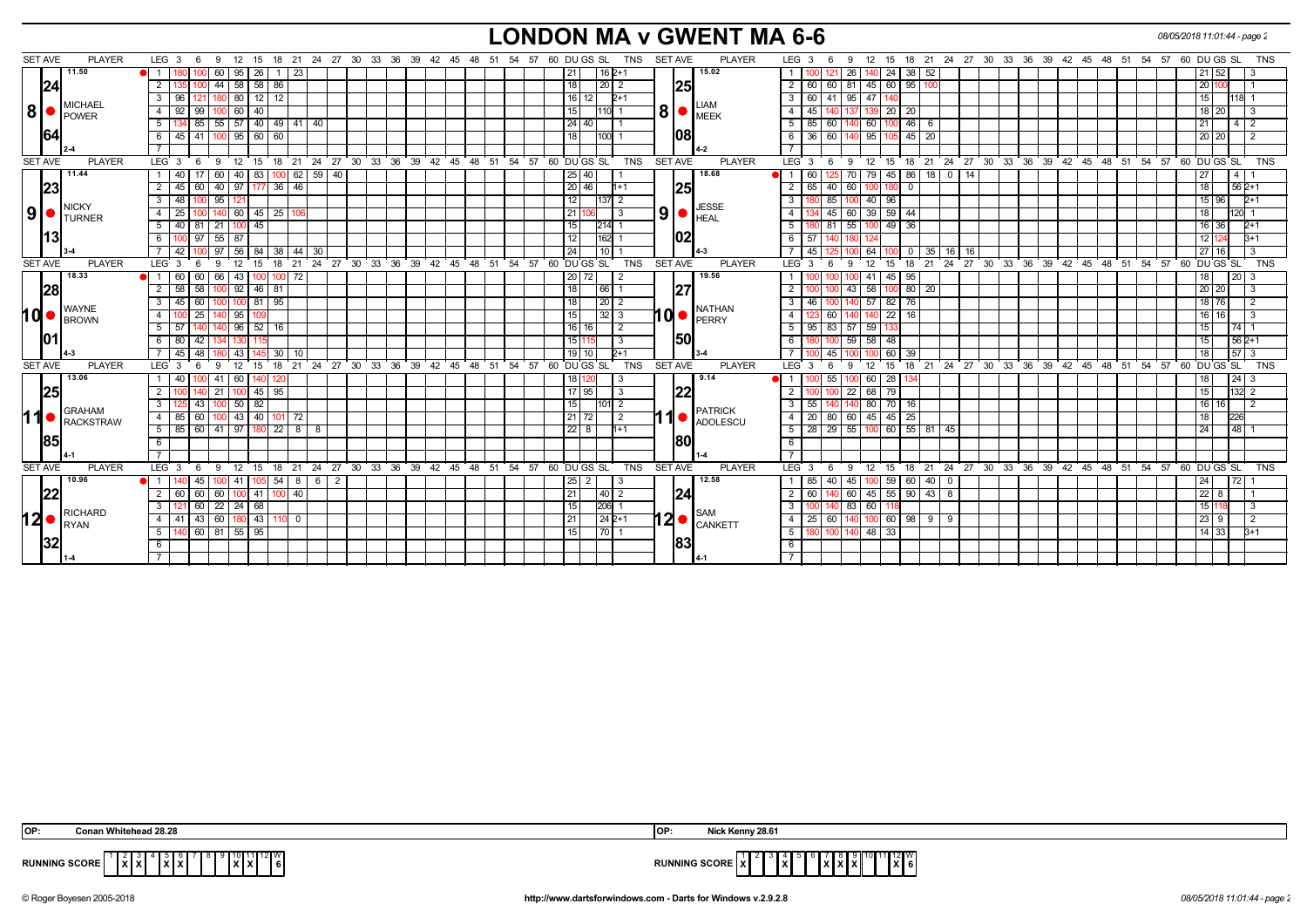# **LONDON MA v GWENT MA 6-6** *08/05/2018 11:01:44 - page 2*

|            | <b>SET AVE</b> | <b>PLAYER</b>                   | LEG $3 \quad 6$                                           |                          | - 9                    |                           |                 |     |                             |                               |  |    |          |  | 12 15 18 21 24 27 30 33 36 39 42 45 48 51 54 57 60 DUGS SL TNS SETAVE          |            |                | <b>PLAYER</b>               | LEG $3 \quad 6$                                                          |                | - 9                           |           |                                                     |              |  |  |  | 12 15 18 21 24 27 30 33 36 39 42 45 48 51 54 57 60 DUGS SL |  |             |                |                              | TNS        |
|------------|----------------|---------------------------------|-----------------------------------------------------------|--------------------------|------------------------|---------------------------|-----------------|-----|-----------------------------|-------------------------------|--|----|----------|--|--------------------------------------------------------------------------------|------------|----------------|-----------------------------|--------------------------------------------------------------------------|----------------|-------------------------------|-----------|-----------------------------------------------------|--------------|--|--|--|------------------------------------------------------------|--|-------------|----------------|------------------------------|------------|
|            |                | 11.50                           |                                                           |                          | 100                    | 60   95   26   1   23     |                 |     |                             |                               |  |    |          |  | 21<br>16   2+1                                                                 |            |                | 15.02                       |                                                                          | 100  121  26   |                               |           | 140 24 38 52                                        |              |  |  |  |                                                            |  | 21   52     |                | - 3                          |            |
|            | 24             |                                 | 2                                                         |                          | $\overline{44}$<br>100 |                           | 58   58   86    |     |                             |                               |  |    |          |  | 18<br> 20 2                                                                    |            | 25             |                             | $\overline{2}$                                                           | 60 60 81       |                               |           | $145$ 60 95 100                                     |              |  |  |  |                                                            |  | 20          |                |                              |            |
|            |                |                                 | 3 96 121 180 80 12 12                                     |                          |                        |                           |                 |     |                             |                               |  |    |          |  | $16$   12<br>$2+1$                                                             |            |                |                             | 3 I                                                                      |                | 60   41   95   47   140       |           |                                                     |              |  |  |  |                                                            |  | l 15 l      |                | 118 1                        |            |
| 8          |                | <b>MICHAEL</b>                  | $\overline{4}$                                            | $-99$<br>92 <sup>1</sup> |                        | $100$ 60 $40$             |                 |     |                             |                               |  |    |          |  | 15<br>$1110$ 1                                                                 |            |                | $8 \cdot \cdot \cdot$       | $\overline{4}$                                                           | 45   140       | 137                           | 139 20 20 |                                                     |              |  |  |  |                                                            |  | 18 20       |                |                              |            |
|            |                | POWER                           | 5                                                         | 85                       |                        |                           |                 |     | 55   57   40   49   41   40 |                               |  |    |          |  | 24 40                                                                          |            |                |                             | 5<br>85                                                                  | 60             | 140                           | 60 100    | $46$ 6                                              |              |  |  |  |                                                            |  | l 21        |                | 412                          |            |
|            | 1641           |                                 | 6 45 41 100 95 60 60                                      |                          |                        |                           |                 |     |                             |                               |  |    |          |  | 18 <br>$ 100 $ 1                                                               |            | 1081           |                             | 6 I                                                                      |                | 36 60 140 95 105 45 20        |           |                                                     |              |  |  |  |                                                            |  | 20 20       |                | $\frac{1}{2}$                |            |
|            |                |                                 |                                                           |                          |                        |                           |                 |     |                             |                               |  |    |          |  |                                                                                |            |                |                             |                                                                          |                |                               |           |                                                     |              |  |  |  |                                                            |  |             |                |                              |            |
|            | <b>SET AVE</b> | <b>PLAYER</b>                   |                                                           |                          |                        |                           |                 |     |                             |                               |  |    |          |  | LEG 3 6 9 12 15 18 21 24 27 30 33 36 39 42 45 48 51 54 57 60 DUGS SL           | TNS        | <b>SET AVE</b> | <b>PLAYER</b>               | LEG 3 6 9 12 15 18 21 24 27 30 33 36 39 42 45 48 51 54 57 60 DUGS SL TNS |                |                               |           |                                                     |              |  |  |  |                                                            |  |             |                |                              |            |
|            |                | 11.44                           |                                                           | 17<br>40 <sup>1</sup>    | 60 l                   |                           | 40   83         |     | $100$ 62 59 40              |                               |  |    |          |  | 25 40                                                                          |            |                | 18.68                       | $\overline{1}$<br>60 l                                                   |                | 5 70                          |           | 79 45 86 18 0 14                                    |              |  |  |  |                                                            |  | l 27        | $\overline{4}$ |                              |            |
|            | 23             |                                 | $\overline{2}$                                            | 60<br>45                 |                        | 40 97 177 36 46           |                 |     |                             |                               |  |    |          |  | 20 46 <br>l1+1                                                                 |            | 25             |                             | $\overline{2}$                                                           | 65 40 60       |                               | 100 180   | $\overline{0}$                                      |              |  |  |  |                                                            |  | 18          |                | $562+1$                      |            |
|            |                |                                 | 3                                                         | 48                       | 95<br>100              |                           |                 |     |                             |                               |  |    |          |  | 12<br>11371 2                                                                  |            |                |                             | 3                                                                        | 85             | 100                           | 40 96     |                                                     |              |  |  |  |                                                            |  | 15   96     |                | $2+1$                        |            |
| 9 ●        |                | <b>INICKY</b><br><b>ITURNER</b> | $\overline{4}$                                            | 25<br>100                |                        | 140 60 45 25 106          |                 |     |                             |                               |  |    |          |  | 21 106<br>-3                                                                   |            | 9              | <b>JESSE</b><br><b>HEAL</b> | $\overline{4}$                                                           | 45 60          |                               | 39 59 44  |                                                     |              |  |  |  |                                                            |  | l 18        |                | 120 1                        |            |
|            |                |                                 | 5 40 81 21 100 45                                         |                          |                        |                           |                 |     |                             |                               |  |    |          |  | 15<br> 214  1                                                                  |            |                |                             | 5                                                                        | 9 81 55        |                               | 100 49 36 |                                                     |              |  |  |  |                                                            |  | 16 36       |                | $2+1$                        |            |
|            | 113            |                                 | 6                                                         | 100 97                   | 55                     | 87                        |                 |     |                             |                               |  |    |          |  | 12 <br>162 1                                                                   |            | 102            |                             | 6<br>57                                                                  |                | 180                           |           |                                                     |              |  |  |  |                                                            |  | l 12 l      |                | $B+1$                        |            |
|            |                |                                 | 7 42                                                      |                          |                        | 100 97 56 84 38           |                 |     | 44   30                     |                               |  |    |          |  | 24<br>10   1                                                                   |            |                |                             | -7 I                                                                     | 45   125       | 64 I                          |           | $\overline{\phantom{0}}$ 0 $\overline{\phantom{0}}$ | 35   16   16 |  |  |  |                                                            |  | 27116       |                |                              |            |
|            | <b>SET AVE</b> | <b>PLAYER</b>                   | LEG 3                                                     | - 6                      |                        | 12                        | 15              |     |                             | 18 21 24 27 30 33 36 39 42 45 |  | 48 | 51 54 57 |  | 60 DU GS SL                                                                    | TNS        | <b>SET AVE</b> | <b>PLAYER</b>               | LEG 3                                                                    | - 6            | -9                            | 12 15     |                                                     |              |  |  |  | 18 21 24 27 30 33 36 39 42 45 48 51 54 57                  |  | 60 DU GS SL |                |                              | TNS        |
|            |                | 18.33                           |                                                           | 60<br>l 60.              | 66                     | 43 I                      |                 |     |                             |                               |  |    |          |  | 20 <br>72                                                                      |            |                | 19.56                       |                                                                          |                | 41                            | 45 I      | 95                                                  |              |  |  |  |                                                            |  |             |                | 20 I                         |            |
|            | 28             |                                 | 2                                                         | 58 58                    |                        | $100$ 92 46 81            |                 |     |                             |                               |  |    |          |  | 18 <br>166   1                                                                 |            | 27             |                             | 2                                                                        |                | $-43$                         |           | 58 100 80 20                                        |              |  |  |  |                                                            |  | 20 20       |                |                              |            |
|            |                |                                 | 3                                                         | 45 60                    |                        | $100$ $100$ 81 95         |                 |     |                             |                               |  |    |          |  | 18<br>$\sqrt{20}$ 2                                                            |            |                |                             | $\overline{3}$<br>46 I                                                   |                | 100 140 57 82 76              |           |                                                     |              |  |  |  |                                                            |  | 18 76       |                |                              |            |
| hd•        |                | ∥WAYNE                          | $\overline{4}$                                            | 25                       |                        | 140 95                    | 109             |     |                             |                               |  |    |          |  | 15<br> 32 3                                                                    |            | <b>∣0∣•</b>    | <b>NATHAN</b><br>PERRY      | $\overline{4}$                                                           | -60 I          | 140                           | 140 22    | 16                                                  |              |  |  |  |                                                            |  | 16   16     |                | <b>13</b>                    |            |
|            |                | <b>BROWN</b>                    | $5 \mid 57 \mid 140 \mid$                                 |                          |                        | 140 96 52 16              |                 |     |                             |                               |  |    |          |  | 16 16 <br>$\overline{2}$                                                       |            |                |                             | $5-1$                                                                    |                | 95 83 57 59 133               |           |                                                     |              |  |  |  |                                                            |  | l 15 l      |                | $74 \mid 1$                  |            |
|            |                |                                 | 6 80 42                                                   |                          |                        | 1341 1301                 |                 |     |                             |                               |  |    |          |  | 15 11<br>3                                                                     |            | 150            |                             | 6                                                                        |                | 180 100 59 58 48              |           |                                                     |              |  |  |  |                                                            |  | l 15        |                | $562+1$                      |            |
|            |                |                                 |                                                           | 45<br>48                 |                        | 43                        | 145             | 30  | -10                         |                               |  |    |          |  | 19 10<br>$_{2+1}$                                                              |            |                |                             | $\overline{7}$                                                           | 45             | 100                           | 60        | 39                                                  |              |  |  |  |                                                            |  |             |                | 57 <sup>2</sup>              |            |
|            | <b>SET AVE</b> | <b>PLAYER</b>                   | LEG <sub>3</sub>                                          | -6                       |                        | 12                        | 15              | 18  | 21                          |                               |  |    |          |  | 24 27 30 33 36 39 42 45 48 51 54 57 60 DUGS SL                                 | <b>TNS</b> | <b>SET AVE</b> | <b>PLAYER</b>               | LEG <sup>®</sup>                                                         | -6             | 12<br>-9                      |           |                                                     |              |  |  |  | 15 18 21 24 27 30 33 36 39 42 45 48 51 54 57               |  | 60 DU GS SL |                |                              | TNS        |
|            |                | 13.06                           |                                                           | l 40                     | 100                    | 41   60                   | 140 I           | 120 |                             |                               |  |    |          |  | 18   120                                                                       |            |                | 9.14                        |                                                                          | 55             | 100                           | 60 28     | 134                                                 |              |  |  |  |                                                            |  | l 18 l      |                | $24 \overline{\phantom{0}}3$ |            |
|            | 25             |                                 | 2                                                         |                          | 21<br>140              |                           | $ 100 $ 45   95 |     |                             |                               |  |    |          |  | $17$ 95<br>3                                                                   |            |                | 22                          | $\overline{2}$                                                           |                | 22                            | 68 79     |                                                     |              |  |  |  |                                                            |  | l 15 l      |                | $132$ 2                      |            |
|            |                |                                 | $\mathbf{3}$                                              | 125 43                   |                        | $100$ 50 $\frac{1}{2}$ 82 |                 |     |                             |                               |  |    |          |  | 15<br>$ 101 $ 2                                                                |            |                |                             | 3 <sup>1</sup>                                                           |                | 55   140   140   80   70   16 |           |                                                     |              |  |  |  |                                                            |  | 16 16       |                | $\frac{1}{2}$                |            |
| <b>11●</b> |                | <b>GRAHAM</b>                   | 4   85   60   100   43   40   101   72                    |                          |                        |                           |                 |     |                             |                               |  |    |          |  | $21$ 72<br>$\frac{1}{2}$                                                       |            |                | <b>PATRICK</b>              | 4                                                                        |                | 20   80   60   45   45   25   |           |                                                     |              |  |  |  |                                                            |  | l 18        | 226            |                              |            |
|            |                | <b>RACKSTRAW</b>                | $5 \mid 85 \mid 60 \mid 41 \mid 97 \mid 180 \mid 22 \mid$ |                          |                        |                           |                 |     | l 8 I<br>- 8                |                               |  |    |          |  | 22 8<br>$h+1$                                                                  |            |                | <b>ADOLESCU</b>             | 5                                                                        | $28$   29   55 |                               |           | 100 60 55 81 45                                     |              |  |  |  |                                                            |  | 24          |                | $48$   1                     |            |
|            | <b>1851</b>    |                                 | 6                                                         |                          |                        |                           |                 |     |                             |                               |  |    |          |  |                                                                                |            | 1801           |                             | 6                                                                        |                |                               |           |                                                     |              |  |  |  |                                                            |  |             |                |                              |            |
|            |                | II 4.1                          |                                                           |                          |                        |                           |                 |     |                             |                               |  |    |          |  |                                                                                |            |                |                             |                                                                          |                |                               |           |                                                     |              |  |  |  |                                                            |  |             |                |                              |            |
|            | <b>SET AVE</b> | <b>PLAYER</b>                   | $LEG_3$                                                   | $6^{\circ}$              | 9                      |                           |                 |     |                             |                               |  |    |          |  | 12 15 18 21 24 27 30 33 36 39 42 45 48 51 54 57 60 DUGS SL                     | TNS        | <b>SET AVE</b> | <b>PLAYER</b>               | LEG <sup>3</sup>                                                         | 6              | <b>9</b>                      |           |                                                     |              |  |  |  | 12 15 18 21 24 27 30 33 36 39 42 45 48 51 54 57 60 DUGS SL |  |             |                |                              | <b>TNS</b> |
|            |                | 10.96                           |                                                           | 45                       |                        | 41                        | 105 I           | 54  | $862$                       |                               |  |    |          |  | $25 \mid 2$                                                                    |            |                | 12.58                       | 85                                                                       | 40             | 45                            | 100 59    | 60   40   0                                         |              |  |  |  |                                                            |  | 24          | 721            |                              |            |
|            | 122            |                                 | 2                                                         | 60<br>60                 |                        | 60   100   41             |                 | 100 | 40                          |                               |  |    |          |  | 21<br> 40 2                                                                    |            | 24             |                             | $\overline{2}$<br>60 <sub>1</sub>                                        |                | 140 60 45 55 90 43 8          |           |                                                     |              |  |  |  |                                                            |  | 22          |                |                              |            |
|            |                |                                 | 3                                                         | 60                       | 22                     | 24                        | 68              |     |                             |                               |  |    |          |  | 15<br>206 1                                                                    |            |                |                             | 3                                                                        |                | 83<br>60                      |           |                                                     |              |  |  |  |                                                            |  |             |                |                              |            |
| 12∣        |                | RICHARD                         | 4   41                                                    |                          | 43 60                  |                           | $180$ 43        |     | $\mathbf 0$                 |                               |  |    |          |  | 21<br>$242+1$                                                                  |            | l2 ●           | SAM                         | $\overline{4}$<br>25                                                     | l 60 I         | 140                           |           | $100 \t60 \t98 \t9 \t9$                             |              |  |  |  |                                                            |  | 23          |                |                              |            |
|            |                | <b>RYAN</b>                     | 5   140   60   81   55   95                               |                          |                        |                           |                 |     |                             |                               |  |    |          |  | 15<br>$\begin{array}{c c c c c c c c c} \hline & 70 & 1 \\ \hline \end{array}$ |            |                | <b>CANKETT</b>              | 5 <sup>1</sup>                                                           |                | 180 100 140 48 33             |           |                                                     |              |  |  |  |                                                            |  | 14   33     |                | $3+1$                        |            |
|            |                |                                 |                                                           |                          |                        |                           |                 |     |                             |                               |  |    |          |  |                                                                                |            | 83             |                             | 6                                                                        |                |                               |           |                                                     |              |  |  |  |                                                            |  |             |                |                              |            |
|            |                |                                 |                                                           |                          |                        |                           |                 |     |                             |                               |  |    |          |  |                                                                                |            |                |                             |                                                                          |                |                               |           |                                                     |              |  |  |  |                                                            |  |             |                |                              |            |
|            |                |                                 |                                                           |                          |                        |                           |                 |     |                             |                               |  |    |          |  |                                                                                |            |                |                             |                                                                          |                |                               |           |                                                     |              |  |  |  |                                                            |  |             |                |                              |            |

| <b>OP</b>            | 128.28                                     | l OP                 | Nick Kenny 28.61                     |
|----------------------|--------------------------------------------|----------------------|--------------------------------------|
| <b>RUNNING SCORE</b> | ا 10∥12∥ W ⊑<br>`lžIži<br>. IžlžL<br>IXIXI | <b>RUNNING SCORE</b> | $\frac{11}{12}$ $\frac{12}{6}$<br>1x |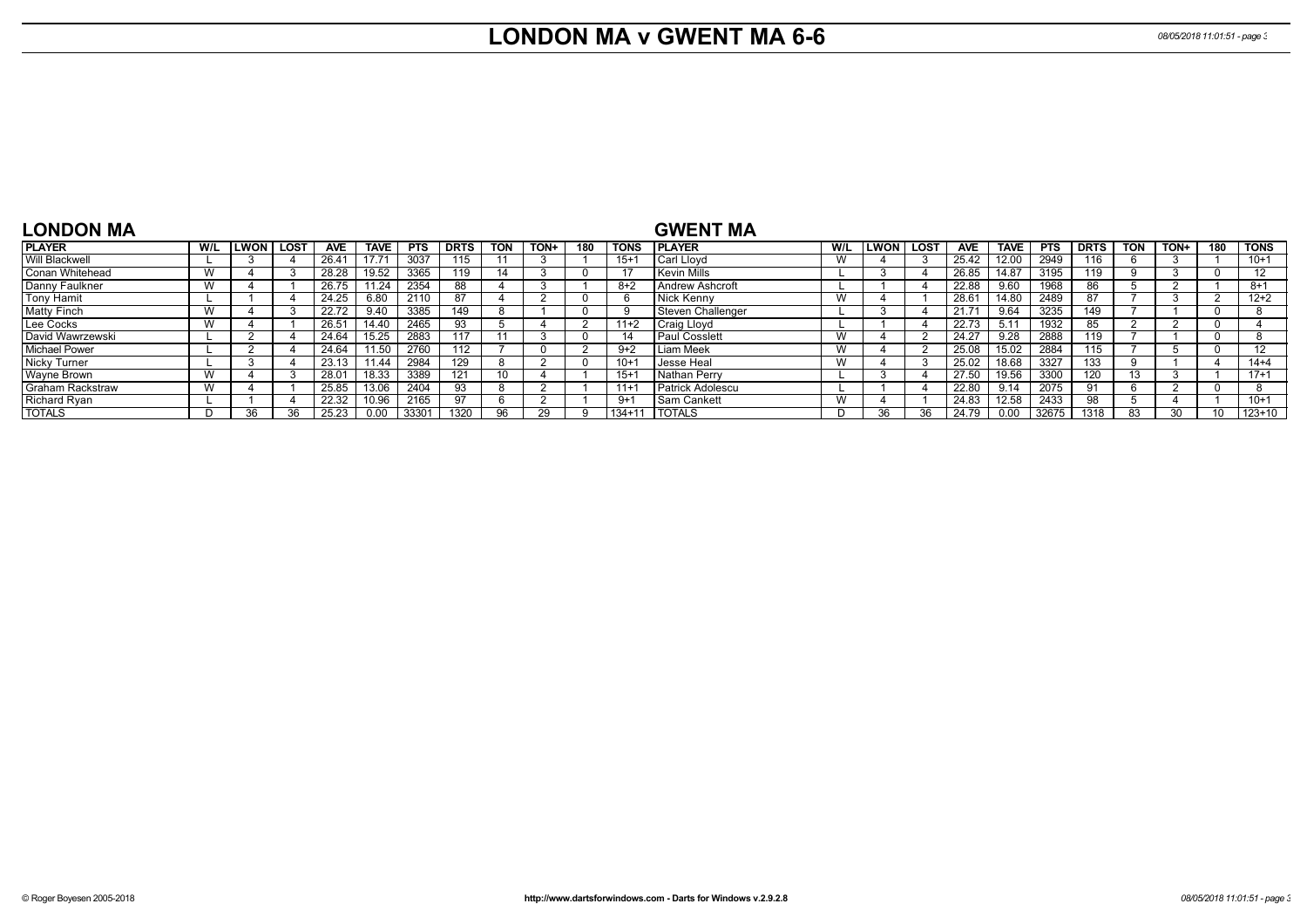# **LONDON MA v GWENT MA 6-6** *08/05/2018 11:01:51 - page 3*

| <b>LONDON MA</b>        |     |      |      |            |       |            |             |            |             |     |             | <b>GWENT MA</b>         |     |      |             |            |             |                  |             |            |              |     |                   |
|-------------------------|-----|------|------|------------|-------|------------|-------------|------------|-------------|-----|-------------|-------------------------|-----|------|-------------|------------|-------------|------------------|-------------|------------|--------------|-----|-------------------|
| <b>PLAYER</b>           | W/L | LWON | LOST | <b>AVE</b> | TAVE  | <b>PTS</b> | <b>DRTS</b> | <b>TON</b> | <b>TON-</b> | 180 | <b>TONS</b> | <b>IPLAYER</b>          | W/L | LWON | <b>LOST</b> | <b>AVE</b> | <b>TAVE</b> | <b>PTS</b>       | <b>DRTS</b> | <b>TON</b> | TON+         | 180 | <b>TONS</b>       |
| <b>Will Blackwell</b>   |     |      |      | 26.41      |       | 3037       | 115         |            |             |     | $15 + 7$    | Carl Llovd              | W   |      |             | 25.42      | 12.00       | 2949             | 116         |            |              |     | $10+1$            |
| Conan Whitehead         | W   |      |      | 28.28      | 19.52 | 3365       | 119         |            |             |     | -17         | Kevin Mills             |     |      |             | 26.85      | 14.87       | 3195             | 119         |            |              |     | 12                |
| Danny Faulkner          | W   |      |      | 26.75      | 1.24  | 2354       | 88          |            |             |     | $8+2$       | Andrew Ashcroft         |     |      |             | 22.88      | 9.60        | 1968             |             |            |              |     | $8 + 1$           |
| Tony Hamit              |     |      |      | 24.25      | 6.80  | 2110       | 87          |            |             |     | <b>b</b>    | Nick Kenny              | W   |      |             | 28.61      | 14.80       | 2489             | 87          |            |              |     | $12+2$            |
| <b>Matty Finch</b>      | W   |      |      | 22.72      | 9.40  | 3385       | 149         |            |             |     | <b>g</b>    | Steven Challenger       |     |      |             | 21.71      | 9.64        | 3235             | 149         |            |              |     |                   |
| Lee Cocks               |     |      |      | 26.51      | 14.40 | 2465       | 93          |            |             |     | $11+2$      | Craig Lloyd             |     |      |             | 22.73      | 5.1'        | 1932             |             |            |              |     |                   |
| David Wawrzewski        |     |      |      | 24.64      | 15.25 | 2883       | 117         |            |             |     | 14          | <b>Paul Cosslett</b>    | W   |      |             | 24.27      | 9.28        | 2888             | 19          |            |              |     |                   |
| <b>Michael Power</b>    |     |      |      | 24.64      | .50   | 2760       | 112         |            |             |     | $9+2$       | Liam Meek               | W   |      |             | 25.08      | 15.02       | 2884             | 15          |            |              |     | $12 \overline{ }$ |
| Nicky Turner            |     |      |      | 23.13      | .44   | 2984       | 129         |            |             |     | $10 +$      | Jesse Heal              | W   |      |             | 25.02      | 18.68       | 3327             | 133         |            |              |     | $14 + 4$          |
| Wayne Brown             |     |      |      | 28.01      | 18.33 | 3389       |             | 10         |             |     | $15 + 7$    | Nathan Perry            |     |      |             | 27.50      | 19.56       | 330 <sub>C</sub> | 120         |            |              |     | $17+1$            |
| <b>Graham Rackstraw</b> | W   |      |      | 25.85      | 13.06 | 2404       | 93          |            |             |     | $11 +$      | <b>Patrick Adolescu</b> |     |      |             | 22.80      | 9.14        | 2075             | 91          |            |              |     |                   |
| <b>Richard Ryan</b>     |     |      |      | 22.32      | 10.96 | 2165       | 97          |            |             |     | $9+1$       | Sam Cankett             | W   |      |             | 24.83      | 12.58       | 2433             | 98          |            |              |     | $10+1$            |
| <b>TOTALS</b>           |     | 36   | 36.  | 25.23      | 0.00  | 33301      | 1320        | <b>QR</b>  |             |     | 134+11      | <b>TOTALS</b>           |     | 36   | 36          | 24.79      | 0.00        | 32675            | 1318        | 83         | $30^{\circ}$ |     | $123 + 10$        |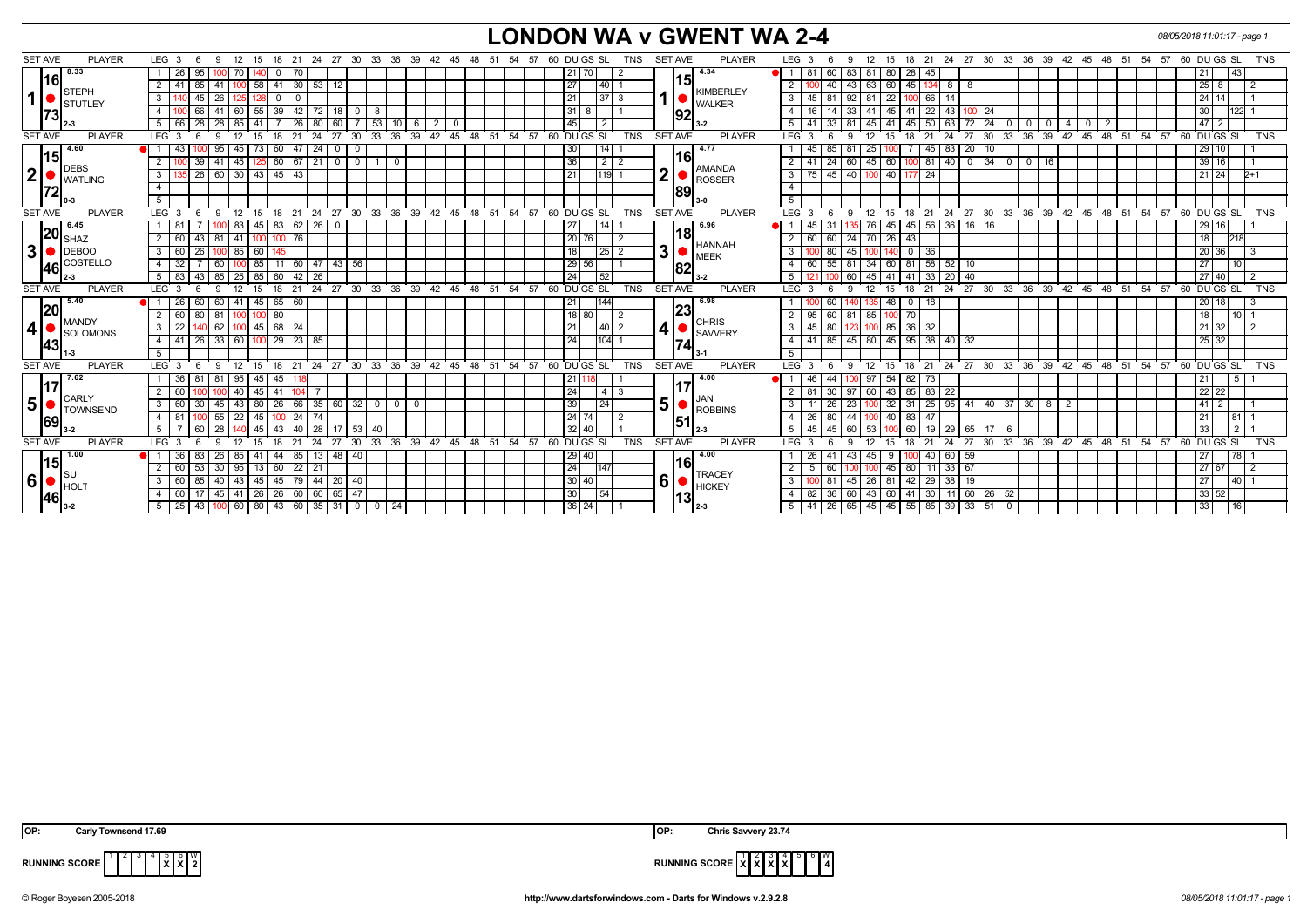## **LONDON WA v GWENT WA 2-4** *08/05/2018 11:01:17 - page 1*

| <b>SET AVE</b> | <b>PLAYER</b>        | LEG 3<br>-9<br>12<br>15                                      | 21<br>18                    | 24 27 30 33 36 39 42 45                          |              |                                  | - 54<br>48 51 | 57 60 DU GS SL<br>TNS                               | <b>SET AVE</b><br><b>PLAYER</b>         | LEG 3<br>12<br>9                                                                          | - 15                 |                                   | 18 21 24 27 30 33 36 39 42 45 48 51 |          |                | 54<br>57 | 60 DU GS SL<br><b>TNS</b>                                          |  |
|----------------|----------------------|--------------------------------------------------------------|-----------------------------|--------------------------------------------------|--------------|----------------------------------|---------------|-----------------------------------------------------|-----------------------------------------|-------------------------------------------------------------------------------------------|----------------------|-----------------------------------|-------------------------------------|----------|----------------|----------|--------------------------------------------------------------------|--|
|                | 8.33                 | 95                                                           |                             |                                                  |              |                                  |               |                                                     | 4.34                                    | 83<br>81<br>60                                                                            | 28<br>80             | -45                               |                                     |          |                |          | <b>43</b>                                                          |  |
| 116l           |                      | 85<br>58                                                     | 30 <sup>1</sup><br>53       |                                                  |              |                                  |               | 27<br>40                                            | 151                                     | $\overline{2}$<br>43<br>63<br>40                                                          | 45<br>60             | 8<br>8                            |                                     |          |                |          | 25 <sub>1</sub>                                                    |  |
|                | $\blacksquare$ STEPH |                                                              |                             |                                                  |              |                                  |               |                                                     | <b>KIMBERLEY</b>                        |                                                                                           |                      |                                   |                                     |          |                |          | 14                                                                 |  |
| 1              | STUTLEY              | 45<br>3<br>26                                                |                             |                                                  |              |                                  |               | 21<br>.37'                                          | <b>WALKER</b>                           | $\overline{3}$<br>92<br>45                                                                | 22<br>100            | 66<br>14                          |                                     |          |                |          | 24 I                                                               |  |
| 73             |                      | 66<br>55<br>4                                                | 39 I<br>42 I<br>72          | 8                                                |              |                                  |               | 31<br>8                                             | 192                                     | $\overline{4}$<br>33<br>-14<br>-41                                                        | 41<br>45             | 22<br>l 43                        | -24                                 |          |                |          | 30                                                                 |  |
|                |                      | 28<br>28<br>41                                               | 80<br>26                    | 53<br>60                                         |              | 2                                |               | 45<br>$\overline{2}$                                |                                         | 5 <sup>5</sup><br>81<br>33                                                                | 45<br>45 41          | 72<br>50 <sup>1</sup><br>  63     | 24<br>$\mathbf{0}$                  |          | $\mathbf{0}$   |          | 2                                                                  |  |
| <b>SET AVE</b> | <b>PLAYER</b>        | LEG <sub>3</sub><br>q<br>12<br>15                            | 21<br>24<br>18              | 27<br>33<br>30                                   | 39<br>36     | 42<br>45<br>48                   | 51<br>54      | 57 60 DU GS SL<br><b>TNS</b>                        | <b>SET AVE</b><br><b>PLAYER</b>         | <b>LEG</b><br>-3<br>12                                                                    | 18                   | 27<br>21<br>24                    | 36<br>30<br>33                      | 39<br>42 | 45<br>$48$ 51  | 54<br>57 | 60 DU GS SL<br><b>TNS</b>                                          |  |
| <u> 15</u>     | 4.60                 | 43<br>95<br>73<br>45                                         | 47   24<br>60 I             |                                                  |              |                                  |               | 30<br>14                                            | 4.77<br>l16l                            | 85<br>81<br>25                                                                            |                      | 20<br>  83<br>45                  | 10                                  |          |                |          | 29 10                                                              |  |
|                | DEBS                 | $\overline{2}$<br>39<br>45<br>-41                            | 60 67 21                    |                                                  | $\mathbf 0$  |                                  |               | $\overline{36}$<br>$\overline{2}$<br>$\overline{2}$ | <b>AMANDA</b>                           | $\overline{2}$<br>$\sqrt{24}$<br>60<br>41                                                 | 45 60                | 100 81 40                         | $0$ $34$ $0$                        | $0$ 16   |                |          | $39$ 16                                                            |  |
| 2              | <b>WATLING</b>       | 26<br>60 30 43 45 43<br>3                                    |                             |                                                  |              |                                  |               | 21<br>$1119$ 1                                      | 2 <sub>1</sub><br><b>ROSSER</b>         | 3<br> 40 <br>$75$   45                                                                    | $177$ 24<br>100 40   |                                   |                                     |          |                |          | $21$   24<br>$2+1$                                                 |  |
| 72             |                      | $\overline{4}$                                               |                             |                                                  |              |                                  |               |                                                     | 89                                      | $\overline{4}$                                                                            |                      |                                   |                                     |          |                |          |                                                                    |  |
|                |                      | 5                                                            |                             |                                                  |              |                                  |               |                                                     |                                         | $5\overline{)}$                                                                           |                      |                                   |                                     |          |                |          |                                                                    |  |
| <b>SET AVE</b> | <b>PLAYER</b>        | LEG <sub>3</sub><br>12<br>15<br>18<br>- 6<br>-9              | 21                          |                                                  |              | 24 27 30 33 36 39 42 45 48 51 54 |               | 57 60 DU GS SL<br><b>TNS</b>                        | <b>SET AVE</b><br><b>PLAYER</b>         | LEG <sub>3</sub><br>9<br>- 6                                                              | 12 15<br>18          | 24<br>21                          |                                     |          |                |          | 27 30 33 36 39 42 45 48 51 54 57 60 DUGS SL<br><b>TNS</b>          |  |
|                | 6.45                 | 45 I<br>83                                                   | 83 <br>$62 \mid 26$         | - 0                                              |              |                                  |               | 27<br>14 <sup>1</sup>                               | 6.96                                    | 76<br>l 31                                                                                | 45                   | 45   56   36                      | $16$   16                           |          |                |          | 29 16                                                              |  |
| 20             | <b>SHAZ</b>          | $\overline{2}$<br>43<br>41<br>- 81<br>100                    | 76                          |                                                  |              |                                  |               | 20 76 <br>2                                         | l18l                                    | $\overline{2}$<br>60 60<br>24 70 26                                                       | 43                   |                                   |                                     |          |                |          | 218<br>18                                                          |  |
| 3 <sup>1</sup> | $\bullet$ DEBOO      | $\mathbf{3}$<br>26<br>85<br>60<br>-60                        |                             |                                                  |              |                                  |               | 18<br>25<br>$\overline{2}$                          | <b>HANNAH</b><br>3 <sup>1</sup><br>MEEK | 3<br>45<br>100 80                                                                         | 0                    | 36                                |                                     |          |                |          | 20 36                                                              |  |
| 46             | COSTELLO             | $\overline{4}$<br>-32<br>85<br>60                            | $60 \mid 47$                | 43 56                                            |              |                                  |               | 29 56                                               | 82                                      | $\overline{4}$<br>60<br>55<br>81                                                          | 34 60<br>81          | $58$ 52<br>10                     |                                     |          |                |          | 27<br>110                                                          |  |
|                |                      | 43<br>85<br>5<br>83<br>85<br>$25 \mid$                       | 26<br>60<br>42              |                                                  |              |                                  |               | $\overline{24}$<br>52                               |                                         | 60<br>5                                                                                   | 45 41<br>41          | 40<br>33<br>$\sqrt{20}$           |                                     |          |                |          | $27 \, 140$                                                        |  |
| <b>SET AVE</b> | <b>PLAYER</b>        | LEG <sub>3</sub><br>12<br>15<br>$\mathbf{q}$                 | $^{\degree}$ 24<br>18<br>21 |                                                  |              | 27 30 33 36 39 42 45 48 51       | 54            | 57 60 DUGS SL<br><b>TNS</b>                         | <b>SET AVE</b><br><b>PLAYER</b>         | LEG <sup>'</sup><br>12<br>-3<br>9<br>-6                                                   | 18<br>15             | 24<br>21                          | 27 30 33 36 39 42 45 48 51 54 57    |          |                |          | 60 DU GS SL<br><b>TNS</b>                                          |  |
|                | 5.40                 | 45<br>60<br>26<br>60<br>l 41 l                               | 65 60                       |                                                  |              |                                  |               | 21<br>144                                           | 6.98                                    | 60                                                                                        | $\overline{0}$<br>48 | 18                                |                                     |          |                |          | 18 <sup>1</sup><br>20 I                                            |  |
| 20             |                      | 80<br>$\overline{2}$<br>60<br>-81<br>100                     | 80                          |                                                  |              |                                  |               | $18$   80                                           | 23                                      | $\overline{2}$<br>81<br>$95 \mid 60$                                                      | 70<br>85 100         |                                   |                                     |          |                |          | 110<br>18                                                          |  |
| 4              | <b>MANDY</b>         | $100$ 45 68 24<br>$\mathbf{3}$<br>22<br>62                   |                             |                                                  |              |                                  |               | 21<br> 40                                           | <b>CHRIS</b><br>4 <sub>1</sub>          | 3<br>80<br>45<br>123                                                                      | 36<br>100 85         | 32                                |                                     |          |                |          | 21 32                                                              |  |
|                | SOLOMONS             | 26<br>33   60<br>4   41  <br>100 <sub>1</sub>                | $29$ 23 85                  |                                                  |              |                                  |               | 24<br>104                                           | <b>SAVVERY</b>                          | 45<br>$\overline{4}$<br>$41 \mid 85$                                                      | 95<br>80 45          | 38   40<br>32                     |                                     |          |                |          | 25 32                                                              |  |
| 43             |                      | -5                                                           |                             |                                                  |              |                                  |               |                                                     | 174                                     | 5 <sup>5</sup>                                                                            |                      |                                   |                                     |          |                |          |                                                                    |  |
| <b>SET AVE</b> | <b>PLAYER</b>        | LEG <sub>3</sub><br>$^{\circ}$ 12<br>15<br>ີ 18<br>- 6<br>-9 |                             |                                                  |              | 21 24 27 30 33 36 39 42 45 48 51 |               | 54 57 60 DU GS SL<br>TNS                            | <b>SET AVE</b><br><b>PLAYER</b>         | LEG <sub>3</sub><br>12<br>-9<br>-6                                                        | - 15                 |                                   |                                     |          |                |          | 18 21 24 27 30 33 36 39 42 45 48 51 54 57 60 DUGS SL<br><b>TNS</b> |  |
|                | 17.62                | 45<br>95                                                     | 45                          |                                                  |              |                                  |               | 21                                                  | 4.00                                    | 97<br>44                                                                                  | 82<br>- 54           |                                   |                                     |          |                |          | $\sqrt{5}$                                                         |  |
| 117            |                      | 45<br>40<br>-2                                               |                             |                                                  |              |                                  |               | 24<br>4<br>∣3                                       |                                         | 97<br>$\overline{2}$<br>81<br>-30                                                         | 60 43                | 85 83 22                          |                                     |          |                |          | 22 22                                                              |  |
| 5 <sup>1</sup> | CARLY                | 30<br>80<br>3<br>43<br>-60<br>45                             | 35<br>26<br>66              | $60 \mid 32 \mid$<br>$\mathbf 0$                 | $\mathbf{0}$ |                                  |               | 39<br>24                                            | <b>JAN</b><br>5                         | $\overline{23}$<br>$\mathbf{3}$<br>26                                                     | 32<br>31             | $25 \mid 95$                      | 41 40 37 30                         | - 8      |                |          | 2 <sup>1</sup>                                                     |  |
|                | <b>TOWNSEND</b>      | 55<br>22<br>45<br>4                                          | 24<br>74                    |                                                  |              |                                  |               | $24 74$                                             | <b>ROBBINS</b>                          | 44<br>$\overline{4}$<br>26<br>80                                                          | 83<br>$\sqrt{40}$    | -47                               |                                     |          |                |          | 81                                                                 |  |
| 69             |                      | 5<br>60<br>28<br>45                                          | 28<br>40<br>43              | 53<br>40                                         |              |                                  |               | 32   40                                             | <b>51</b>                               | 5<br>60<br>45<br>53                                                                       | 60 <sup>1</sup>      | $\sqrt{29}$<br>65 I               | 17 I 6                              |          |                |          | 1211<br>33                                                         |  |
| <b>SET AVE</b> | <b>PLAYER</b>        | LEG <sub>3</sub>                                             |                             | 30<br>33<br>27                                   | 39<br>36     | 42<br>48<br>45                   | 51<br>54      | 57<br>60 DU GS SL<br><b>TNS</b>                     | <b>SET AVE</b><br><b>PLAYER</b>         | <b>LEG</b><br>- 3                                                                         |                      | 24<br>27<br>21                    | 36<br>30<br>33                      | 39 42    | 45<br>48<br>51 | 54<br>57 | 60 DU GS SL<br><b>TNS</b>                                          |  |
|                | 1.00                 | 83<br>41                                                     | 13                          | 48<br>40                                         |              |                                  |               | $29$ 40                                             | 4.00                                    | 26                                                                                        |                      | 59<br>40<br>60                    |                                     |          |                |          | 78                                                                 |  |
| <u> 15 </u>    |                      | 53<br>13                                                     | $22 \mid$<br>21<br>60       |                                                  |              |                                  |               | 24<br>147                                           | 161                                     | $\overline{2}$<br>-5                                                                      | 80<br>45             | 67<br>33<br>11                    |                                     |          |                |          | 27 67                                                              |  |
| 6              | . Isu                | 85<br>45<br>-3<br>43<br>40                                   | 44<br>45<br>79 I            | 20 40                                            |              |                                  |               | 30   40                                             | <b>TRACEY</b><br>6                      | 3<br>45                                                                                   | 42<br>26 81          | 19<br>29<br>38                    |                                     |          |                |          | 40<br>27                                                           |  |
|                |                      |                                                              |                             |                                                  |              |                                  |               |                                                     | <b>HICKEY</b>                           |                                                                                           |                      |                                   |                                     |          |                |          |                                                                    |  |
|                | HOLT                 |                                                              |                             |                                                  |              |                                  |               |                                                     |                                         |                                                                                           |                      |                                   |                                     |          |                |          |                                                                    |  |
| <b>46</b>      |                      | 17<br>26<br>45<br>41<br>43<br> 80 <br>60<br>25               | 26<br>60 60<br>43<br>60 35  | 65 47<br>-31<br>$\overline{0}$<br>$\overline{0}$ | 24           |                                  |               | 30<br>54<br>36 24                                   | 13                                      | 60<br>$\overline{4}$<br>82<br>43<br>36<br>65 45 45<br>5 <sup>1</sup><br>41<br>$\sqrt{26}$ | 41<br>60             | 30 <sup>°</sup><br>11<br>55 85 39 | $60$   26   52<br>33   51           |          |                |          | 33 52<br>33<br>116                                                 |  |

 **OP: Carly Townsend 17.69 OP: Chris Savvery 23.74**

 **X X** 6 W **4**

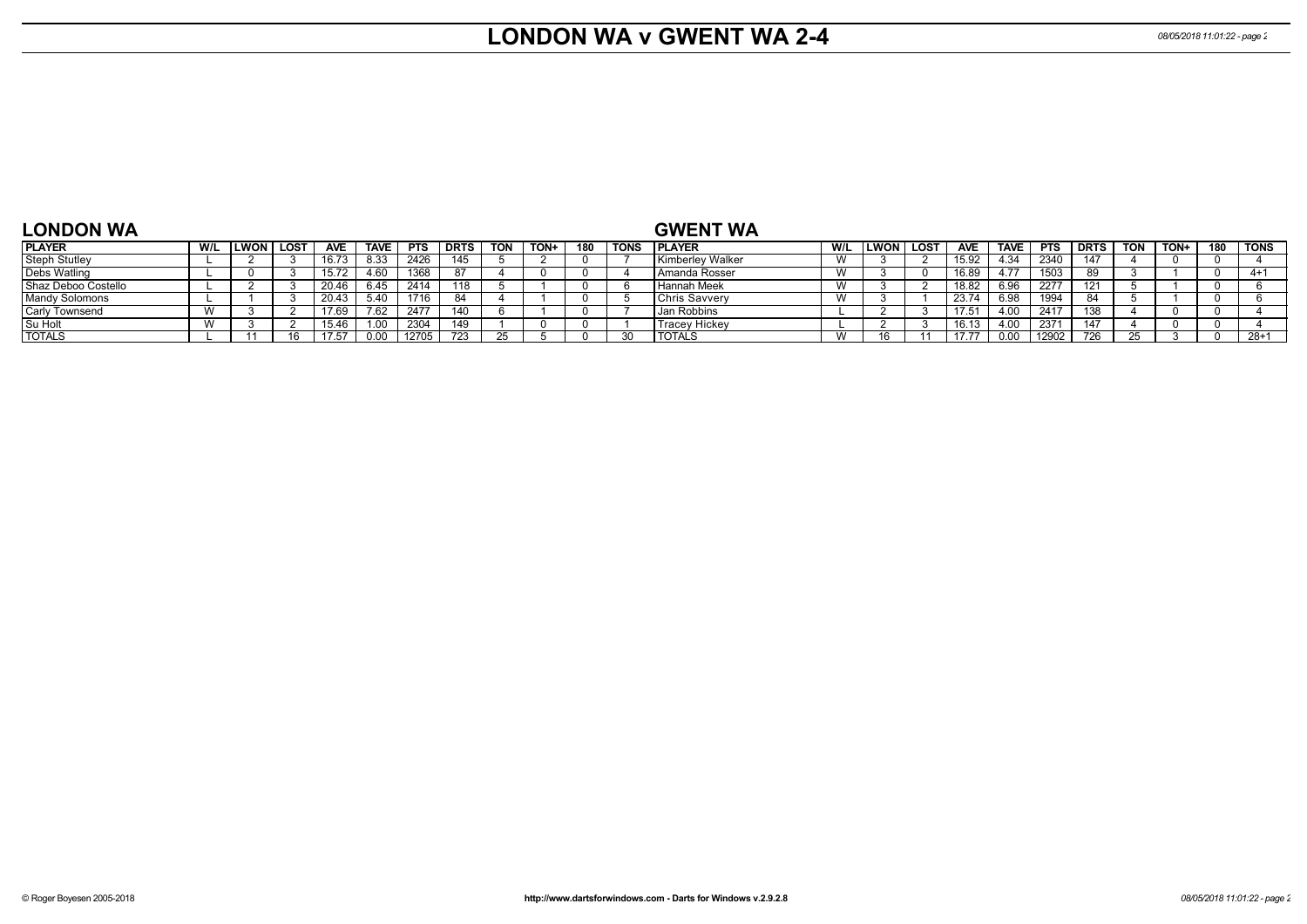#### **LONDON WA v GWENT WA 2-4** *08/05/2018 11:01:22 - page 2*

| <b>LONDON WA</b>      |     |                  |            |             |            |             |            |      |     |             | <b>GWENT WA</b>      |     |                   |            |             |            |             |            |      |     |             |
|-----------------------|-----|------------------|------------|-------------|------------|-------------|------------|------|-----|-------------|----------------------|-----|-------------------|------------|-------------|------------|-------------|------------|------|-----|-------------|
| <b>PLAYER</b>         | W/L | <b>LWON LOST</b> | <b>AVE</b> | <b>TAVE</b> | <b>PTS</b> | <b>DRTS</b> | <b>TON</b> | TON+ | 180 | <b>TONS</b> | <b>IPLAYER</b>       | W/L | <b>ILWON LOST</b> | <b>AVE</b> | <b>TAVE</b> | <b>PTS</b> | <b>DRTS</b> | <b>TON</b> | TON+ | 180 | <b>TONS</b> |
| <b>Steph Stutley</b>  |     |                  | 16.73      | 8.33        | 2426       | 145         |            |      |     |             | Kimberley Walker     |     |                   | 15.92      | .34         | 2340       | 147         |            |      |     |             |
| Debs Watling          |     |                  | 15.72      |             | 1368       | -87         |            |      |     |             | Amanda Rosser        |     |                   | 16.89      |             | 1503       | 89          |            |      |     | 4+1         |
| Shaz Deboo Costello   |     |                  | 20.46      | 6.45        | 2414       |             |            |      |     |             | Hannah Meek          |     |                   | 18.82      |             | 2277       |             |            |      |     |             |
| <b>Mandy Solomons</b> |     |                  | 20.43      | 40          | 1716       | 84          |            |      |     |             | Chris Savvery        |     |                   | 23.74      |             | 1994       | 84          |            |      |     |             |
| <b>Carly Townsend</b> |     |                  | 17.69      | 7.62        | 2477       | 110         |            |      |     |             | Jan Robbins          |     |                   | 17.5       |             | 2417       | 129         |            |      |     |             |
| Su Holt               |     |                  | 15.46      |             | 2304       | 149         |            |      |     |             | <b>Tracey Hickey</b> |     |                   | 16.13      |             | 2371       | 147         |            |      |     |             |
| <b>TOTALS</b>         |     |                  |            |             | 12705      | 723         |            |      |     |             | <b>TOTALS</b>        |     |                   |            |             | 12902      | 726         |            |      |     | $28+1$      |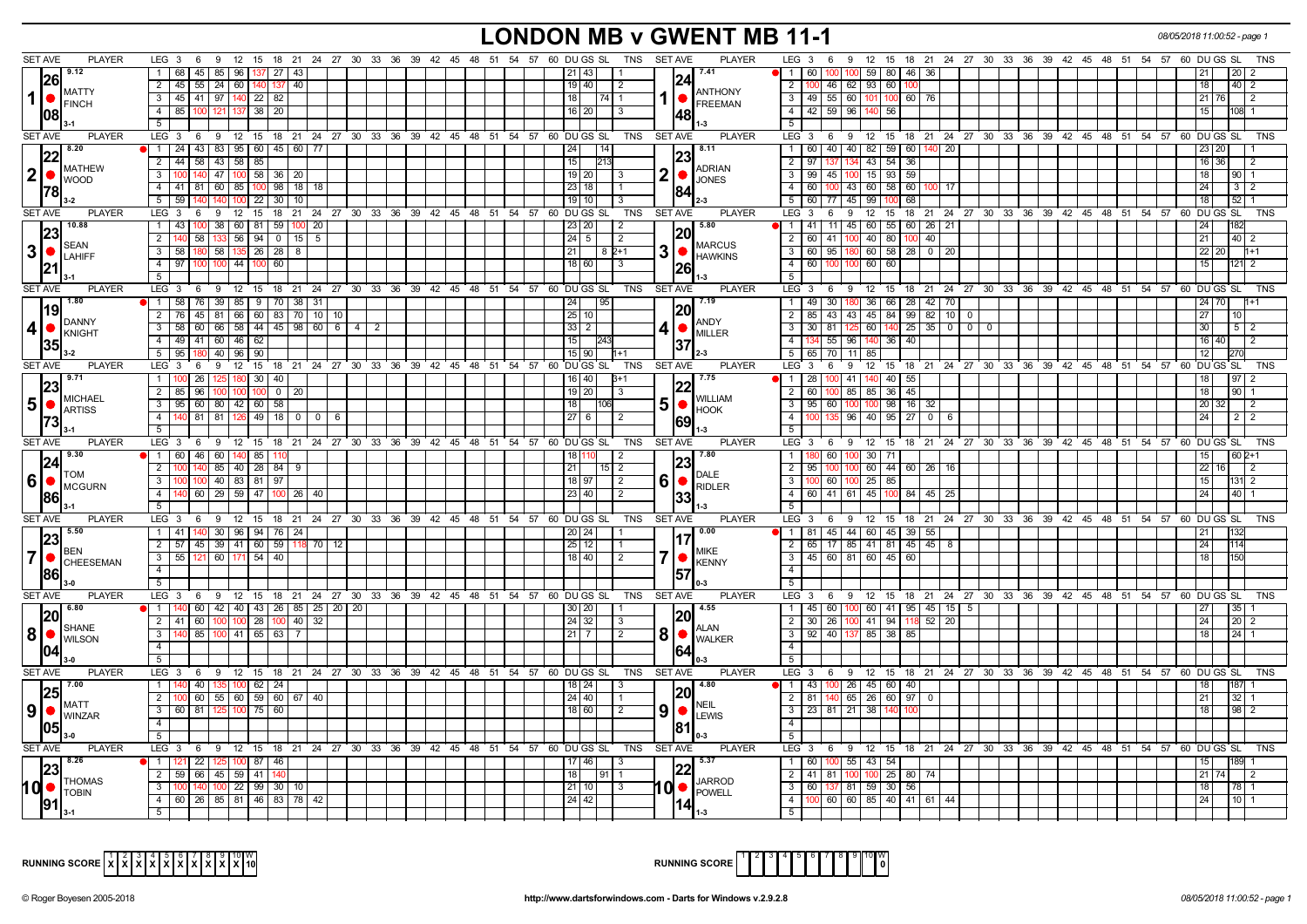# **LONDON MB v GWENT MB 11-1** *08/05/2018 11:00:52 - page 1*

| <b>SET AVE</b>                                                   |                                                                                                       |                                                                                                                                   |
|------------------------------------------------------------------|-------------------------------------------------------------------------------------------------------|-----------------------------------------------------------------------------------------------------------------------------------|
| <b>PLAYER</b><br>9.12                                            | LEG 3 6 9 12 15 18 21 24 27 30 33 36 39 42 45 48 51 54 57 60 DUGS SL<br>SET AVE<br>TNS                | <b>PLAYER</b><br>LEG 3 6 9 12 15 18 21 24 27 30 33 36 39 42 45 48 51 54 57 60 DUGS SL<br>TNS<br>7.41<br>21 <sup>1</sup>           |
| 26                                                               | 1 68 45 85 96 137 27 43<br>$21$   43<br>124                                                           | 100 100 59 80 46 36<br>1   60  <br><b>20</b>                                                                                      |
| <b>MATTY</b>                                                     | 2 45 55 24 60 140 137 40<br>19   40  <br>l 2                                                          | 2   100   46   62   93   60   100<br>18 <sup>1</sup><br>40   2<br><b>ANTHONY</b>                                                  |
| $1$ $\bullet$<br><b>FINCH</b>                                    | 3 45 41 97 140 22 82<br>  18  <br><b>17411</b>                                                        | 1   FREEMAN<br>3 49 55 60 101 100 60 76<br>21 76<br>l 2                                                                           |
| 108                                                              | 4   85   100   121   137   38   20<br>$16$   20<br>l 3<br>148                                         | 4 4 42 59 96 140 56<br>15<br>$108 - 1$                                                                                            |
|                                                                  | 51                                                                                                    | 5<br>$1 - 3$                                                                                                                      |
| <b>SET AVE</b><br><b>PLAYER</b>                                  | $LEG_3$ 6<br>9<br>12 15 18 21 24 27 30 33 36 39 42 45 48 51 54 57 60 DUGS SL<br>TNS<br><b>SET AVE</b> | <b>PLAYER</b><br>LEG <sup>3</sup><br>6 <sup>°</sup> 9<br>12 15 18 21 24 27 30 33 36 39 42 45 48 51 54 57 60 DUGS SL<br><b>TNS</b> |
| 8.20                                                             | 1   24   43   83   95   60   45   60   77<br> 24 <br>l 14 l<br> 23                                    | 1 60 40 40 82 59 60 140 20<br>8.11<br>23 20                                                                                       |
| <b>MATHEW</b>                                                    | 2 44 58 43 58 85<br>15                                                                                | 43 54 36<br>$2 \mid 97$<br>16 36<br>$\overline{2}$<br><b>ADRIAN</b>                                                               |
| 2 •<br><b>WOOD</b>                                               | 140 47 100 58 36 20<br>$19$   20  <br>$\bullet$<br>3 100<br>-3                                        | 15 93 59<br>3   99   45   100<br>18 <sup>1</sup><br>$90 \mid 1$<br><b>JONES</b>                                                   |
| 178                                                              | 4   41   81   60   85   100   98   18   18  <br>23   18  <br>184                                      | 4 60 100 43 60 58 60<br>100 I 17 I<br>24<br>$3 \mid 2$                                                                            |
|                                                                  | 5 5 59 140 140 100 22 30 10<br>19 10 1<br>3                                                           | 5 60 77 45 99 100 68<br>18<br>$52$ 1                                                                                              |
| <b>SET AVE</b><br><b>PLAYER</b>                                  | $LEG_36$<br>9 12 15 18 21 24 27 30 33 36 39 42 45 48 51 54 57 60 DUGS SL TNS<br><b>SET AVE</b>        | <b>PLAYER</b><br>LEG <sub>3</sub><br>6<br><b>9</b><br>12 15 18 21 24 27 30 33 36 39 42 45 48 51 54 57 60 DUGS SL TNS              |
| 10.88                                                            | 1 43 100 38 60 81 59 100 20<br>23   20  <br>-2                                                        | $\overline{5.80}$<br>11 45 60 55 60 26 21<br>1   41                                                                               |
| 23<br><b>SEAN</b>                                                | 20<br>58   133   56   94   0   15  <br>  24   5  <br>2   140<br>5<br>l 2                              | 2 60 41 100 40 80 100 40<br>$21 \mid$<br>$40 \mid 2$<br><b>MARCUS</b>                                                             |
| 3 •<br>LAHIFF                                                    | 3 58 180 58 135 26 28 8<br>$21$ $82+1$                                                                | 3 60 95 180 60 58 28 0 20<br>22 20<br>$1 + 1$<br>HAWKINS                                                                          |
| 21                                                               | 4 97 100 100 44 100<br>60<br>18 60<br>I 3<br>26                                                       | 60 60<br>4 60 100 100<br>15 <sup>1</sup><br>1211 2                                                                                |
|                                                                  | 5                                                                                                     | $\overline{5}$                                                                                                                    |
| <b>SET AVE</b><br><b>PLAYER</b>                                  | LEG 3 6 9 12 15 18 21 24 27 30 33 36 39 42 45 48 51 54 57 60 DUGS SL<br>TNS<br><b>SET AVE</b>         | <b>PLAYER</b><br>LEG 3 6 9 12 15 18 21 24 27 30 33 36 39 42 45 48 51 54 57<br>60 DU GS SL<br><b>TNS</b>                           |
|                                                                  | 1   58   76   39   85   9   70   38   31<br> 24 <br>l 95                                              | 1 49 30 180 36 66 28 42 70<br>24   70                                                                                             |
| 19                                                               | 20<br>2 76 45 81 66 60 83 70 10 10<br>25 10                                                           | 2   85   43   43   45   84   99   82   10   0<br>27                                                                               |
| DANNY<br>$4 \cdot \bullet$ KNIGHT                                | $3$   58   60   66   58   44   45   98   60   6   4   2<br>4 I<br>$33$   2                            | <b>ANDY</b><br>$3$   30   81   125   60   140   25   35   0   0   0<br>MILLER<br>30 <sup>1</sup><br>$5 \mid 2$                    |
|                                                                  | 4 49 41 60 46 62<br>15 <sup>1</sup><br>137                                                            | 4   134   55   96   140   36   40  <br>16 40<br>$\sqrt{2}$                                                                        |
| 35                                                               | 5 95 180 40 96 90<br>  15   90  <br>$11+1$                                                            | 5 65 70 11 85<br>12 <sup>1</sup>                                                                                                  |
| <b>SET AVE</b><br><b>PLAYER</b>                                  | LEG 3 6 9 12 15 18 21 24 27 30 33 36 39 42 45 48 51 54 57 60 DUGS SL<br><b>SET AVE</b><br>TNS         | <b>PLAYER</b><br>LEG 3 6 9 12 15 18 21 24 27 30 33 36 39 42 45 48 51 54 57 60 DUGS SL<br><b>TNS</b>                               |
| l 9.71                                                           | 1   100   26   125   180   30   40  <br>  16   40                                                     | 1   28   100   41   <mark>140</mark>   40   55  <br><b>7.75</b><br>18<br>$97 \mid 2$                                              |
| 23                                                               | 22<br>2 85 96 100 100 100<br>19 20 <br>$0 \mid 20$<br>3                                               | 2 60 100 85 85 36 45<br>18<br>90 <sub>1</sub>                                                                                     |
| MICHAEL<br>$5\bullet$                                            | 3   95   60   80   42   60   58<br>  18  <br>[106]                                                    | <b>WILLIAM</b><br>3   95   60   100   100   98   16   32  <br>20 32<br>l 2                                                        |
| <b>ARTISS</b>                                                    | 4 140 81 81 126 49 18 0 0 6<br>$\overline{27}$ 6<br>$\frac{1}{2}$                                     | <b>HOOK</b><br>4   100   135   96   40   95   27   0   6<br>24<br>$2 \mid 2$                                                      |
|                                                                  | 69<br>$5\sqrt{2}$                                                                                     | 5                                                                                                                                 |
|                                                                  |                                                                                                       |                                                                                                                                   |
| <b>SET AVE</b><br><b>PLAYER</b>                                  | LEG 3 6 9 12 15 18 21 24 27 30 33 36 39 42 45 48 51 54 57 60 DUGS SL TNS<br><b>SET AVE</b>            | <b>PLAYER</b><br>LEG 3 6 9 12 15 18 21 24 27 30 33 36 39 42 45 48 51 54 57 60 DUGS SL<br>TNS                                      |
| 9.30                                                             | 1811<br>l 2                                                                                           | <b>7.80</b><br>60 100 30 71<br>1 1 1 1 1 8 0<br>15 <sup>1</sup><br>$602+1$                                                        |
| 24                                                               | 1 60 46 60 140 85 110<br> 23<br>$2 \ 100$<br>21                                                       | $2 \mid 95$<br>60 44 60 26 16<br>$22$ 16<br>12                                                                                    |
| <b>TOM</b>                                                       | 140 85 40 28 84 9<br>$15\sqrt{2}$<br>$3 \mid 100$<br>100 40 83 81 97<br>$\sqrt{2}$                    | DALE<br>3 I<br>60   100<br>15 <sub>1</sub><br>100                                                                                 |
| 16   MCGURN                                                      | 61<br>18 97<br>4 <sup>1</sup><br>40<br>2                                                              | $25 \ 85$<br>$\bigcap_{RIDLER}$<br>$131 \ 2$<br>24 <sup>1</sup><br>40                                                             |
| 86                                                               | 60   29   59   47   100   26  <br>23 40 <br> 33<br>5 <sub>1</sub>                                     | 4 60 41 61 45 100 84 45 25                                                                                                        |
|                                                                  |                                                                                                       | TNS                                                                                                                               |
| <b>SET AVE</b><br><b>PLAYER</b><br>5.50                          | LEG 3 6 9 12 15 18 21 24 27 30 33 36 39 42 45 48 51 54 57 60 DUGS SL<br>TNS<br>SET AVE                | PLAYER<br>LEG 3 6 9 12 15 18 21 24 27 30 33 36 39 42 45 48 51 54 57 60 DUGS SL<br>$\blacksquare$ 0.00                             |
| 23                                                               | 1 41 140 30 96 94 76 24<br>20 24<br>17                                                                | 1   81   45   44   60   45   39   55                                                                                              |
| <b>BEN</b>                                                       | 2 57 45 39 41 60 59 118 70 12<br>25 12                                                                | 2 65 17 85 41 81 45 45 8<br>24<br><b>MIKE</b>                                                                                     |
|                                                                  | $3$ 55 121 60 171 54 40<br>$\bullet$<br>18 40 <br>$\sqrt{2}$                                          | 3   45   60   81   60   45   60<br>18<br><b>KENNY</b><br>4                                                                        |
| 86                                                               | 4 I<br>57                                                                                             |                                                                                                                                   |
|                                                                  | 5                                                                                                     | 5                                                                                                                                 |
| SET AVE<br><b>PLAYER</b><br>6.80                                 | LEG 3 6 9 12 15 18 21 24 27 30 33 36 39 42 45 48 51 54 57 60 DUGS SL TNS<br><b>SET AVE</b>            | <b>PLAYER</b><br>LEG 3 6 9 12 15 18 21 24 27 30 33 36 39 42 45 48 51 54 57 60 DUGS SL<br><b>TNS</b><br>4.55                       |
| 120                                                              | $11140$ 60 $142140$ 43 26 85 25 20 20<br>30 20 <br><b>20</b>                                          | 1 45 60 100 60 41 95 45 15 5<br>27<br>35<br>2                                                                                     |
| <b>SHANE</b>                                                     | 60 100 100 28 100 40<br>$\overline{32}$<br>24 32<br>$2 \mid 41$<br>-3                                 | 41 94 118<br>$52$ 20<br>2 30 26 100<br>24<br>20<br><b>ALAN</b>                                                                    |
| 8 <br><b>WILSON</b>                                              | 81<br>3 <sup>1</sup><br>85   100   41   65   63   7<br>$21$   7 <br>$\sqrt{2}$                        | 3   92   40   137   85   38   85<br>18<br>24 <sup>1</sup><br><b>WALKER</b>                                                        |
| 04                                                               | 4<br> 64                                                                                              | $\overline{4}$                                                                                                                    |
| $3-0$                                                            | 5 <sup>5</sup>                                                                                        | 5 <sup>1</sup>                                                                                                                    |
| <b>SET AVE</b><br><b>PLAYER</b><br>7.00                          | LEG 3 6 9 12 15 18 21 24 27 30 33 36 39 42 45 48 51 54 57 60 DUGS SL TNS<br>SET AVE                   | <b>PLAYER</b><br>LEG 3 6 9 12 15 18 21 24 27 30 33 36 39 42 45 48 51 54 57 60 DUGS SL<br>TNS                                      |
| 25                                                               | 1   140   40   135   100   62   24  <br> 18 24 <br>120                                                | 1   43   100   26   45   60   40                                                                                                  |
| <b>MATT</b>                                                      | $2   100   60   55   60   59   60   67   40$<br>24 40                                                 | 2   81   140   65   26   60   97   0<br>21<br>NFIL                                                                                |
| $\vert 9 \vert$ $\bullet$ $\vert_{\text{WINZAR}}^{\text{MAI-1}}$ | 91<br>3 60 81 125 100 75 60<br>18 60 <br>$\overline{2}$                                               | 3   23   81   21   38   140   100<br>$\bullet$ $\mathsf{L}\textsc{EWS}$<br>18<br>98 <sup>2</sup>                                  |
| 105                                                              | $\overline{4}$<br>181                                                                                 | $\overline{4}$                                                                                                                    |
| $3-0$                                                            | 5 <sub>1</sub>                                                                                        | 5 <sup>1</sup>                                                                                                                    |
| <b>PLAYER</b><br><b>SET AVE</b>                                  | LEG 3 6 9 12 15 18 21 24 27 30 33 36 39 42 45 48 51 54 57 60 DUGS SL TNS<br><b>SET AVE</b>            | <b>PLAYER</b><br>LEG 3 6 9 12 15 18 21 24 27 30 33 36 39 42 45 48 51 54 57 60 DUGS SL<br><b>TNS</b>                               |
| 8.26                                                             | 1 1 121 22 125 100 87 46<br>17 46<br>$\vert$ 3                                                        | 1   60   100   55   43   54  <br>5.37<br>189 1<br>15 <sup>1</sup>                                                                 |
| <b>THOMAS</b>                                                    | 22<br>2 59 66 45 59 41<br>18<br>19111                                                                 | 2   41   81   100<br>$100$ 25 80<br>$21 \overline{74}$<br>74<br>$\overline{2}$<br><b>JARROD</b>                                   |
| 10 ●<br><b>TOBIN</b>                                             | 10 O<br>$3 \, 100$<br>140 100 22 99 30 10<br>21 10 <br>$\vert$ 3                                      | 3 60 137 81 59 30 56<br>18 <sup>1</sup><br>78 1<br><b>POWELL</b>                                                                  |
| 191                                                              | 4 60 26 85 81 46 83 78<br>42<br>24 42                                                                 | 4   100   60   60   85   40   41   61   44<br>24                                                                                  |



|  | wΙ<br>10l | <b>RUNNING SCORE</b> |  |  |  |  | 2345678 |  |  |  | 9 10 W | $\Omega$ |
|--|-----------|----------------------|--|--|--|--|---------|--|--|--|--------|----------|
|--|-----------|----------------------|--|--|--|--|---------|--|--|--|--------|----------|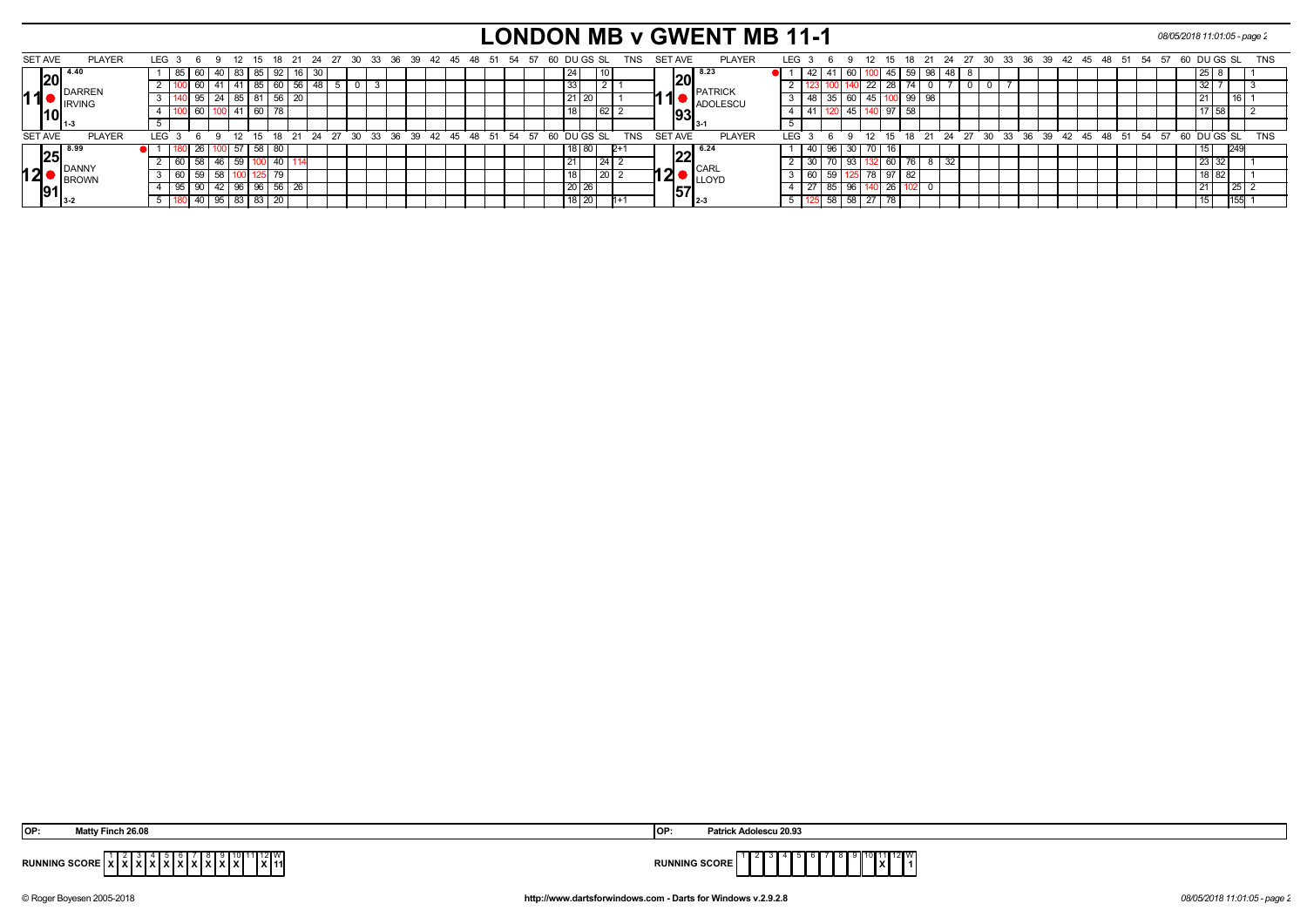# **LONDON MB v GWENT MB 11-1** *08/05/2018 11:01:05 - page 2*

| <b>SET AVE</b> | <b>PLAYER</b>               | LEG 3            |        | -6 |              |      |                  | 18            |         | -24 | 27 | - 30 | -36<br>-33                                              | 39 42 | 45 48 | -51 | -54 | -57 |    |           | 60 DU GS SL | TNS        | SET AVE        |      |                                                                           | <b>PLAYER</b> | LEG |                 |          |            | 12 15 |          | 18                   |       | 27<br>- 24 | -30 |  |  | 33 36 39 42 45                                  | -48 | -51 | 54 57 | 60 DU GS SL   |        |     | TNS        |
|----------------|-----------------------------|------------------|--------|----|--------------|------|------------------|---------------|---------|-----|----|------|---------------------------------------------------------|-------|-------|-----|-----|-----|----|-----------|-------------|------------|----------------|------|---------------------------------------------------------------------------|---------------|-----|-----------------|----------|------------|-------|----------|----------------------|-------|------------|-----|--|--|-------------------------------------------------|-----|-----|-------|---------------|--------|-----|------------|
|                | $\sqrt{20}$ <sup>4.40</sup> |                  | 85 I   | 60 | 40   83      |      |                  | '85   92   16 |         | 30  |    |      |                                                         |       |       |     |     |     |    |           | 10          |            |                |      | $ 20 $ <sup>8.23</sup>                                                    |               |     |                 |          | OU I       |       | JUI 45 I | 59                   | -98 I |            |     |  |  |                                                 |     |     |       |               | l 25 I |     |            |
|                | DARREN                      |                  |        |    |              | l 41 | 85               | ∣60 I56 I     |         | 48  |    |      | 3                                                       |       |       |     |     |     |    | 33        |             |            |                |      | <b>PATRICK</b>                                                            |               |     |                 |          |            | 22 28 |          | 74                   |       |            |     |  |  |                                                 |     |     |       |               | 32     |     |            |
| 11             | <b>IRVING</b>               |                  |        | 95 | 24           | 85   | 81               |               | 56   20 |     |    |      |                                                         |       |       |     |     |     |    | 21 20     |             |            |                |      | ADOLESCU                                                                  |               |     |                 | 48 35 60 |            |       |          | 45 100 99 98         |       |            |     |  |  |                                                 |     |     |       |               | l 21   |     |            |
|                |                             |                  |        | 60 |              | 141  | 60               |               |         |     |    |      |                                                         |       |       |     |     |     |    |           | $\sqrt{62}$ |            |                | 1931 |                                                                           |               |     |                 |          | $\vert$ 45 |       |          | 58                   |       |            |     |  |  |                                                 |     |     |       |               | 17 58  |     |            |
|                |                             |                  |        |    |              |      |                  |               |         |     |    |      |                                                         |       |       |     |     |     |    |           |             |            |                |      | <b>B</b> 3-1                                                              |               |     |                 |          |            |       |          |                      |       |            |     |  |  |                                                 |     |     |       |               |        |     |            |
| <b>SET AVE</b> | <b>PLAYER</b>               | LEG <sub>3</sub> |        |    | $\alpha$     | 12   |                  |               |         |     |    |      | 15 18 21 24 27 30 33 36 39 42 45 48 51 54 57 60 DUGS SL |       |       |     |     |     |    |           |             | <b>TNS</b> | <b>SET AVE</b> |      |                                                                           | <b>PLAYER</b> | LEG |                 | G Q      |            |       |          |                      |       |            |     |  |  | 12 15 18 21 24 27 30 33 36 39 42 45 48 51 54 57 |     |     |       | $60$ DU GS SL |        |     | <b>TNS</b> |
|                | $ 25 ^{8.99}$               |                  |        |    |              | 57   | .58 <sup>1</sup> | 80            |         |     |    |      |                                                         |       |       |     |     |     |    | 18   80   |             |            |                |      | $\sqrt{22}^{6.24}$                                                        |               |     | 40 I            |          | 30         |       |          |                      |       |            |     |  |  |                                                 |     |     |       |               |        |     |            |
|                | DANN'                       |                  |        |    |              | 59   |                  |               |         |     |    |      |                                                         |       |       |     |     |     | 21 |           |             |            |                |      | <b>I</b> CARL                                                             |               |     | 30 <sub>1</sub> |          | 93         |       | i ov     | $\overline{z}$<br>70 |       |            |     |  |  |                                                 |     |     |       |               | 23 32  |     |            |
| 12             | <b>IBROWN</b>               |                  | $\sim$ |    |              |      |                  |               |         |     |    |      |                                                         |       |       |     |     |     |    |           | l 20        |            |                |      | LLOYD <sup>'</sup>                                                        |               |     | -60 I           |          |            | 70    |          | 82                   |       |            |     |  |  |                                                 |     |     |       |               | 18 82  |     |            |
|                |                             |                  |        | 90 | 42   96      |      | 96               | $56 \mid 26$  |         |     |    |      |                                                         |       |       |     |     |     |    | 20 26     |             |            |                |      | $\overline{\textbf{57}}_{\textcolor{red}{2}\textcolor{blue}{\mathbf{3}}}$ |               |     |                 |          | 96         |       |          |                      |       |            |     |  |  |                                                 |     |     |       |               | l 21   | -45 |            |
|                |                             |                  |        |    | $95 \mid 83$ |      | 83               | 20            |         |     |    |      |                                                         |       |       |     |     |     |    | $18$   20 |             |            |                |      |                                                                           |               |     |                 | 58       | 58         | 27    |          |                      |       |            |     |  |  |                                                 |     |     |       |               |        | 155 |            |

| Matty Finch 26.08                                                                                                                                   | Patrick Adolescu 20.93       |
|-----------------------------------------------------------------------------------------------------------------------------------------------------|------------------------------|
| OP:                                                                                                                                                 | IOP:                         |
| 112W<br>RUNNING SCORE $\vec{x}$ $\vec{x}$ $\vec{x}$ $\vec{x}$ $\vec{x}$ $\vec{x}$ $\vec{x}$ $\vec{x}$ $\vec{x}$ $\vec{x}$ $\vec{x}$<br><b>IX</b> 11 | <b>RUNNING SCORE</b><br>1X I |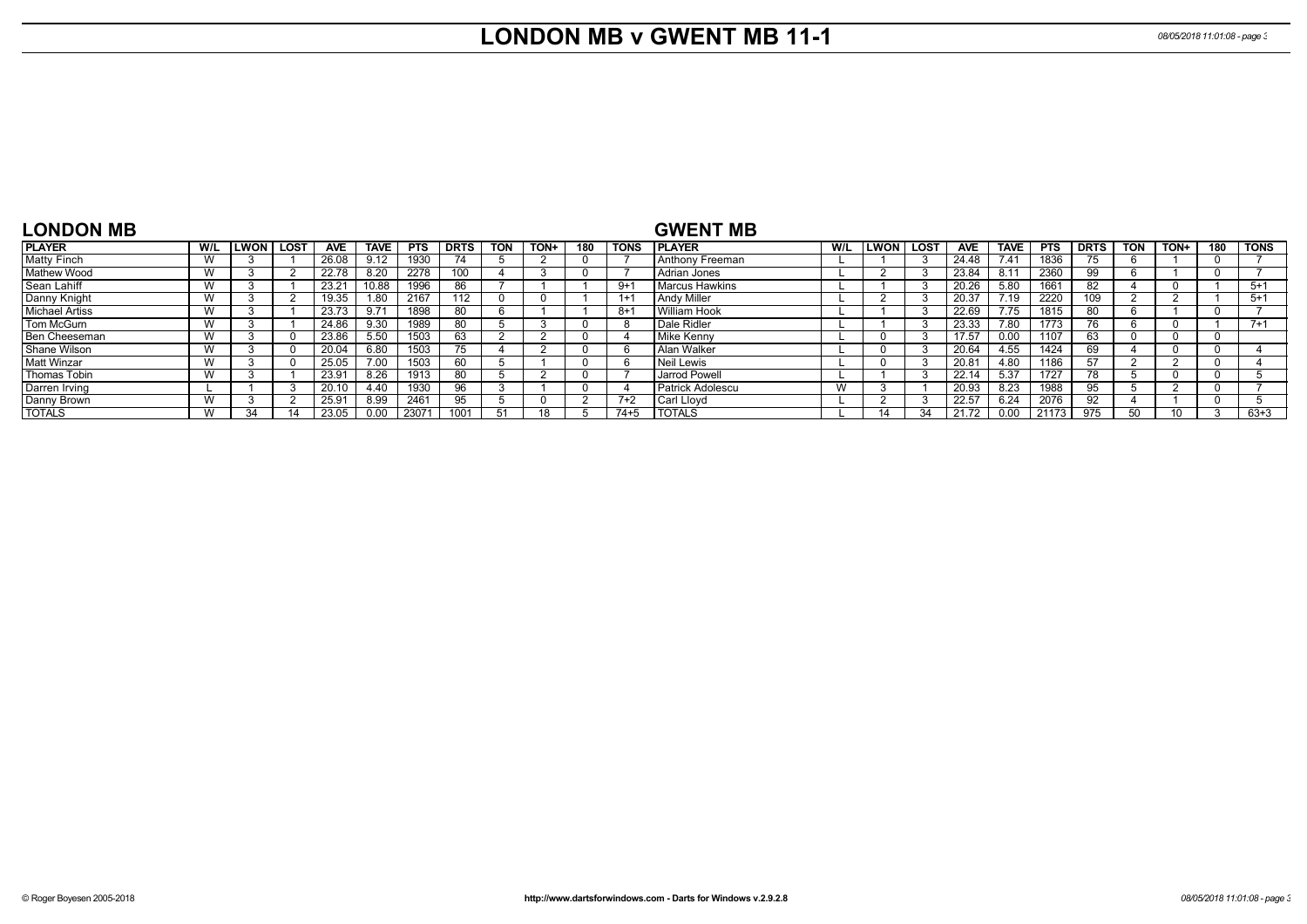## **LONDON MB v GWENT MB 11-1** *08/05/2018 11:01:08 - page 3*

| <b>LONDON MB</b>      |              |             |      |            |             |            |             |            |      |     |             | <b>GWENT MB</b>         |     |             |      |            |             |            |             |            |      |     |             |
|-----------------------|--------------|-------------|------|------------|-------------|------------|-------------|------------|------|-----|-------------|-------------------------|-----|-------------|------|------------|-------------|------------|-------------|------------|------|-----|-------------|
| <b>PLAYER</b>         | W/L          | <b>LWON</b> | LOST | <b>AVE</b> | <b>TAVE</b> | <b>PTS</b> | <b>DRTS</b> | <b>TON</b> | TON+ | 180 | <b>TONS</b> | <b>IPLAYER</b>          | W/L | <b>LWON</b> | LOST | <b>AVE</b> | <b>TAVE</b> | <b>PTS</b> | <b>DRTS</b> | <b>TON</b> | TON+ | 180 | <b>TONS</b> |
| <b>Matty Finch</b>    | $\mathbf{M}$ |             |      | 26.08      | 9.12        | 1930       | 74          |            |      |     |             | Anthony Freeman         |     |             |      | 24.48      | 7.41        | 1836       | $\sim$      |            |      |     |             |
| <b>Mathew Wood</b>    | $\mathbf{M}$ |             |      | 22.78      | 8.20        | 2278       | 100         |            |      |     |             | l Adrian Jones          |     |             |      | 23.84      | 8.11        | 2360       |             |            |      |     |             |
| Sean Lahiff           | $\mathbf{M}$ |             |      | 23.21      | 10.88       | 1996       | 86          |            |      |     | $9 + 1$     | <b>Marcus Hawkins</b>   |     |             |      | 20.26      | 5.80        | 1661       |             |            |      |     | $5+1$       |
| Danny Knight          | $\mathbf{M}$ |             |      | 19.35      | 1.80        | 2167       | 112         |            |      |     | $1+1$       | <b>Andy Miller</b>      |     |             |      | 20.37      | 7.19        | 2220       | 109         |            |      |     | $5+1$       |
| <b>Michael Artiss</b> | $\mathbf{M}$ |             |      | 23.73      | $9.7^4$     | 1898       | 80          |            |      |     | $8 + 1$     | William Hook            |     |             |      | 22.69      | 7.75        | 1815       |             |            |      |     |             |
| Tom McGurn            | $\mathbf{M}$ |             |      | 24.86      | 9.30        | 1989       | 80          |            |      |     |             | Dale Ridler             |     |             |      | 23.33      | 7.80        | 1773       | 76          |            |      |     | $7 + 1$     |
| Ben Cheeseman         | $\mathbf{M}$ |             |      | 23.86      | 5.50        | 1503       | 63          |            |      |     |             | Mike Kenny              |     |             |      | 17.57      | 0.00        | 1107       | 63.         |            |      |     |             |
| Shane Wilson          | $\mathbf{M}$ |             |      | 20.04      | 6.80        | 1503       | $\sqrt{5}$  |            |      |     |             | Alan Walker             |     |             |      | 20.64      | 4.55        | 1424       |             |            |      |     |             |
| Matt Winzar           | W            |             |      | 25.05      | 7.00        | 1503       | 60          |            |      |     | h           | Neil Lewis              |     |             |      | 20.81      | 4.80        | 1186       | 57          |            |      |     |             |
| Thomas Tobin          | $\mathbf{M}$ |             |      | 23.91      | 8.26        | 1913       | 80          |            |      |     |             | Jarrod Powell           |     |             |      | 22.14      | 5.37        | 1727       |             |            |      |     |             |
| Darren Irving         |              |             |      | 20.10      | 4.40        | 1930       | 96          |            |      |     |             | <b>Patrick Adolescu</b> | W   |             |      | 20.93      | 8.23        | 1988       | 95.         |            |      |     |             |
| Danny Brown           | $\mathbf{M}$ |             |      | 25.91      | 8.99        | 2461       | 95          |            |      |     | $7+2$       | l Carl Llovd            |     |             |      | 22.57      | 6.24        | 2076       | 92          |            |      |     |             |
| <b>TOTALS</b>         | $\mathbf{M}$ | 34          |      | 23.05      | 0.00        | 23071      |             | 51         |      |     | $74 + 5$    | <b>TOTALS</b>           |     |             | 31   | 21.72      | 0.00        | 21173      | 975         | 50         |      |     | $63 + 3$    |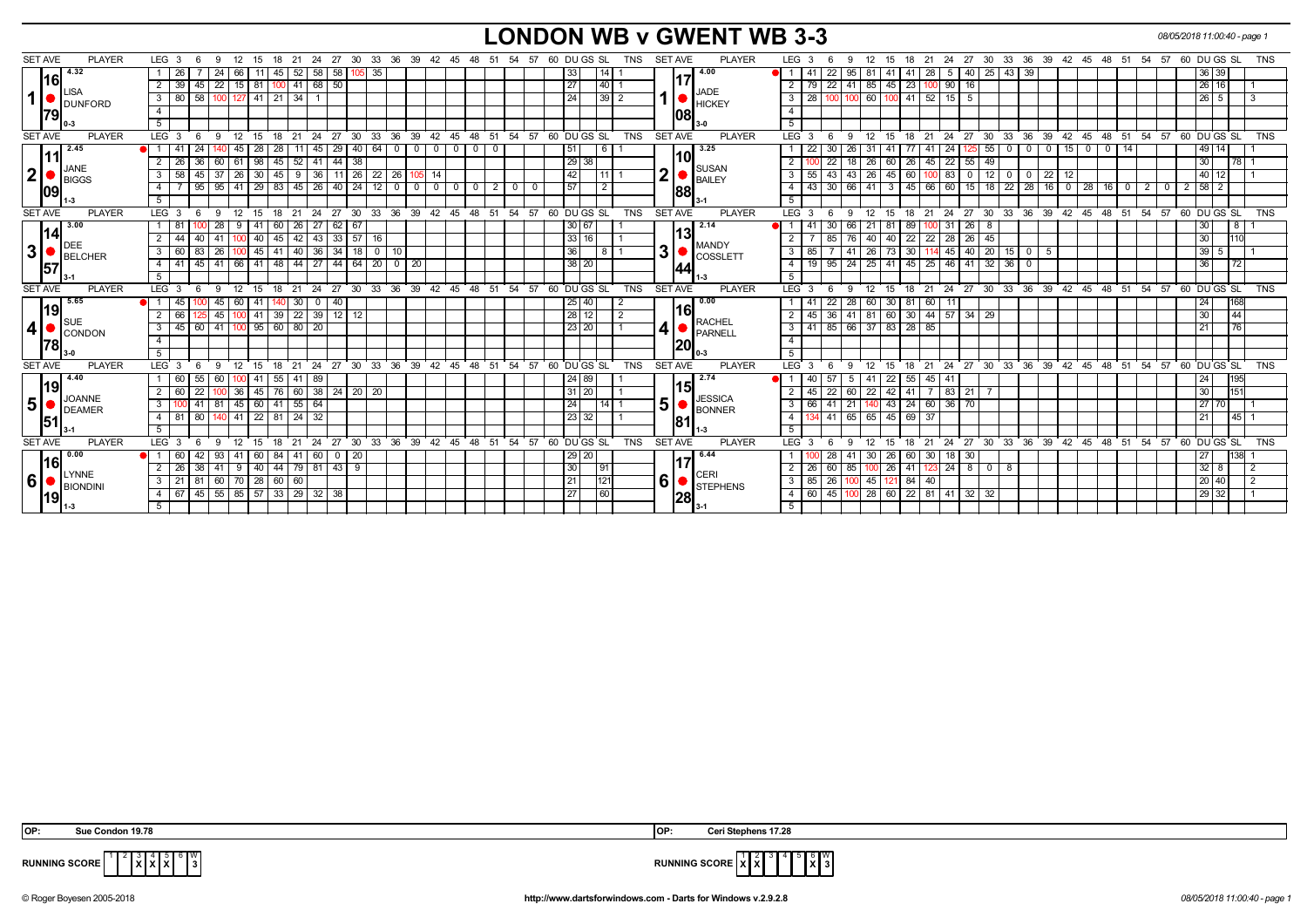#### **LONDON WB v GWENT WB 3-3** *08/05/2018 11:00:40 - page 1*

| <b>SET AVE</b> | <b>PLAYER</b>         | LEG 3<br>- 6                                         |                   | 12                      | - 15                   |              |                                                              |                   |                             |              |                                 |                                  |                |                         |    | 18 21 24 27 30 33 36 39 42 45 48 51 54 57                  | 60 DU GS SL     |      | TNS        | <b>SET AVE</b> |      | <b>PLAYER</b>                                                       |                | LEG <sub>3</sub> |                                                 | 12       | 15                      |                     | 18 21 24                  | 27           |                        |                                        |                    |    |             | 30 33 36 39 42 45 48 51 54 57 60 DUGS SL                   |                                            |                |                   |         | <b>TNS</b>     |
|----------------|-----------------------|------------------------------------------------------|-------------------|-------------------------|------------------------|--------------|--------------------------------------------------------------|-------------------|-----------------------------|--------------|---------------------------------|----------------------------------|----------------|-------------------------|----|------------------------------------------------------------|-----------------|------|------------|----------------|------|---------------------------------------------------------------------|----------------|------------------|-------------------------------------------------|----------|-------------------------|---------------------|---------------------------|--------------|------------------------|----------------------------------------|--------------------|----|-------------|------------------------------------------------------------|--------------------------------------------|----------------|-------------------|---------|----------------|
|                | 4.32                  | - 26                                                 | 24                | 66                      | 11                     | 45           | 52                                                           | 58<br>58          |                             | $105$ 35     |                                 |                                  |                |                         |    |                                                            | 33              |      |            |                |      | 4.00                                                                |                |                  | 22<br>95                                        |          | 41                      | -41                 | 28<br>5                   | 40   25      |                        | 43 39                                  |                    |    |             |                                                            |                                            |                | 36 39             |         |                |
|                | 16                    | $39 \mid 45 \mid 22 \mid 15 \mid 81$<br>$\mathbf{2}$ |                   |                         |                        | 10C          | 41 68 50                                                     |                   |                             |              |                                 |                                  |                |                         |    |                                                            | 27              | 40   |            |                | 117  |                                                                     |                |                  | 2   79   22   41   85   45   23   100   90   16 |          |                         |                     |                           |              |                        |                                        |                    |    |             |                                                            |                                            |                | 26 16             |         |                |
| $\mathbf 1$    | <b>ISA</b>            | 3 80 58 100 127 41 21 34 1                           |                   |                         |                        |              |                                                              |                   |                             |              |                                 |                                  |                |                         |    |                                                            | 24              | 39 2 |            |                |      | <b>JADE</b>                                                         |                | $3 \mid 28$      | 100 100                                         |          |                         |                     | 60 100 41 52 15 5         |              |                        |                                        |                    |    |             |                                                            |                                            |                | $26 \mid 5 \mid$  |         | 3              |
|                | <b>J</b> DUNFORD      |                                                      |                   |                         |                        |              |                                                              |                   |                             |              |                                 |                                  |                |                         |    |                                                            |                 |      |            |                |      | $\left  \mathbf{1} \right $ $\bullet$ $\left  \text{HCKEY} \right $ | 4 <sup>1</sup> |                  |                                                 |          |                         |                     |                           |              |                        |                                        |                    |    |             |                                                            |                                            |                |                   |         |                |
| 79             |                       | 5 <sup>5</sup>                                       |                   |                         |                        |              |                                                              |                   |                             |              |                                 |                                  |                |                         |    |                                                            |                 |      |            |                | 1081 |                                                                     | 5              |                  |                                                 |          |                         |                     |                           |              |                        |                                        |                    |    |             |                                                            |                                            |                |                   |         |                |
| <b>SET AVE</b> | <b>PLAYER</b>         | $LEG_3$ 6                                            | -9                |                         | 12 15                  |              | 18 21 24                                                     |                   |                             |              |                                 |                                  |                |                         |    | 27 30 33 36 39 42 45 48 51 54 57 60 DUGS SL                |                 |      | <b>TNS</b> | <b>SET AVE</b> |      | <b>PLAYER</b>                                                       |                | LEG <sup>3</sup> | 9<br>6                                          | 12       |                         |                     |                           |              |                        |                                        |                    |    |             | 15 18 21 24 27 30 33 36 39 42 45 48 51 54 57 60 DUGS SL    |                                            |                |                   |         | <b>TNS</b>     |
|                | 2.45                  | -24                                                  |                   | 45 I                    | 28                     | 28           |                                                              | 29<br>45          | 40 <sup>1</sup>             | 64 I         | $\mathbf 0$<br>-0               | $\begin{array}{c} 0 \end{array}$ | $\overline{0}$ | - 0                     |    |                                                            | 51              | -6   |            |                |      | 3.25                                                                |                | 22               | 30                                              |          |                         | 41                  | 24                        |              | 55<br>$\mathbf{0}$     | $\mathbf 0$                            | $\Omega$           | 15 | $\mathbf 0$ | 14                                                         |                                            |                | 49 14             |         |                |
| 111            |                       | 36<br>$2 \mid 26 \mid$                               |                   |                         | $61 \mid 98$           | 45           |                                                              |                   | 44 38                       |              |                                 |                                  |                |                         |    |                                                            | $\sqrt{29}$ 38  |      |            |                | 10   |                                                                     | $\overline{2}$ |                  | -26<br>$\overline{22}$                          | ∣ 18 I   |                         | 26 60 26 45         | $\overline{22}$           | $55 \mid 49$ |                        |                                        |                    |    |             |                                                            |                                            |                | 30                |         |                |
|                | JANE                  |                                                      | 45<br>$\sqrt{37}$ | 60<br>$\sqrt{26}$       | 30                     |              | $52 \mid 41$<br>$9 \ 36$                                     |                   | 11 26                       |              |                                 | $105$ 14                         |                |                         |    |                                                            |                 | 111  |            | 2 <sub>1</sub> |      | <b>SUSAN</b>                                                        |                |                  | $43 \mid 43$                                    |          | 26 45 60                |                     | $100$ 83                  |              | 12                     |                                        |                    |    |             |                                                            |                                            |                | $40$ 12           |         |                |
| $\mathbf{2}$   | BIGGS                 | 3<br>58                                              |                   |                         | $41 \mid 29$           | 45           | $145$ 26                                                     |                   |                             | $22 \mid 26$ |                                 | $0$ 0                            |                |                         |    |                                                            | 42<br>57        |      |            |                |      | BAILEY                                                              | 3              | 55<br>43         | 30   66                                         | 41       |                         |                     |                           | $\mathbf 0$  |                        | $\mathbf 0$<br>$\overline{\mathbf{0}}$ | $22 \mid 12$       |    |             |                                                            |                                            |                |                   |         |                |
| 109            |                       | $\overline{4}$                                       | 95<br>95          |                         |                        | $ 83\rangle$ |                                                              |                   | 40 24 12 0                  |              |                                 |                                  | $\overline{0}$ | $\overline{\mathbf{0}}$ | 2  | $\mathbf{0}$<br>$\overline{0}$                             |                 |      |            |                | 88   |                                                                     | 4 I            |                  |                                                 |          | $\overline{\mathbf{3}}$ |                     | $45 \mid 66 \mid 60 \mid$ |              |                        |                                        | $15$ 18 22 28 16 0 |    | $28$ 16 0   |                                                            | $\overline{2}$<br>$\overline{\phantom{0}}$ | $\overline{2}$ |                   |         |                |
|                |                       |                                                      |                   |                         |                        |              |                                                              |                   |                             |              |                                 |                                  |                |                         |    |                                                            |                 |      |            |                |      |                                                                     | 5 <sup>1</sup> |                  |                                                 |          |                         |                     |                           |              |                        |                                        |                    |    |             |                                                            |                                            |                |                   |         |                |
| <b>SET AVE</b> | <b>PLAYER</b><br>3.00 | LEG $3 \quad 6$                                      | 9                 |                         |                        |              |                                                              |                   |                             |              |                                 |                                  |                |                         |    | 12 15 18 21 24 27 30 33 36 39 42 45 48 51 54 57 60 DUGS SL |                 |      | <b>TNS</b> | <b>SET AVE</b> |      | <b>PLAYER</b><br>2.14                                               |                | LEG <sub>3</sub> | 6<br>9                                          | 12       |                         |                     |                           |              |                        |                                        |                    |    |             | 15 18 21 24 27 30 33 36 39 42 45 48 51 54 57 60 DUGS SL    |                                            |                |                   |         | TNS            |
| 14             |                       | 1   81                                               | 28                |                         | 41                     | 60           | 26 <sub>1</sub>                                              | 62<br>27          | 67                          |              |                                 |                                  |                |                         |    |                                                            | 30   67         |      |            |                | 13   |                                                                     |                | -41              | 30                                              | 21<br>66 | -81                     | 89                  | 100 31                    | $26 \mid 8$  |                        |                                        |                    |    |             |                                                            |                                            |                | 30 <sub>1</sub>   | ୪.      |                |
|                | <b>IDEE</b>           | 44<br>2                                              | 40<br>41          |                         | 40                     | 45           | 42 43                                                        |                   | 33 57                       | 16           |                                 |                                  |                |                         |    |                                                            | 33 16           |      |            |                |      | <b>MANDY</b>                                                        | 2 I            |                  | 85                                              | 76.      | 40 40                   | 22                  | 28<br>$22 \mid$           | 26   45      |                        |                                        |                    |    |             |                                                            |                                            |                | 30 <sup>1</sup>   | 110     |                |
| 3              | BELCHER               | 83<br>3<br>l 60 l                                    | 26                |                         | $100$ 45 41            |              | 40 36 34 18 0 10                                             |                   |                             |              |                                 |                                  |                |                         |    |                                                            | 36              | -8   |            | 3              |      | <b>COSSLETT</b>                                                     |                | 3   85           |                                                 |          | 41 26 73 30             |                     | 45                        | 40 20        |                        | $15$ 0                                 | - 5                |    |             |                                                            |                                            |                | $39 \overline{5}$ |         |                |
| 57             |                       | 4   41                                               | 45                | $141 \ 66 \ 41 \ 48$    |                        |              | 44 27                                                        |                   | $44 \mid 64 \mid 20 \mid 0$ |              | -20                             |                                  |                |                         |    |                                                            | 38 20           |      |            |                | 44   |                                                                     | 4 I            | 19 I             | 95                                              | 24 25 41 |                         | $45 \mid 25 \mid$   |                           | 46 41 32     | 36                     | $\mathbf{0}$                           |                    |    |             |                                                            |                                            |                | 36                | 72      |                |
|                |                       |                                                      |                   |                         |                        |              |                                                              |                   |                             |              |                                 |                                  |                |                         |    |                                                            |                 |      |            |                |      |                                                                     | 5 <sup>1</sup> |                  |                                                 |          |                         |                     |                           |              |                        |                                        |                    |    |             |                                                            |                                            |                |                   |         |                |
| <b>SET AVE</b> | <b>PLAYER</b>         | $6^{\circ}$<br>LEG 3                                 | - 9               |                         | $12 \quad 15$          |              |                                                              |                   |                             |              |                                 |                                  |                |                         |    | 18 21 24 27 30 33 36 39 42 45 48 51 54 57 60 DUGS SL       |                 |      | <b>TNS</b> | <b>SET AVE</b> |      | <b>PLAYER</b>                                                       |                | LEG <sup>3</sup> | <b>9</b><br>6                                   |          |                         |                     |                           |              |                        |                                        |                    |    |             | 12 15 18 21 24 27 30 33 36 39 42 45 48 51 54 57 60 DUGS SL |                                            |                |                   |         | <b>TNS</b>     |
|                | 15.65<br> 19          | $\blacksquare$<br>45                                 | 45                | 60                      | 41                     | 140          | $\sqrt{30}$                                                  | $\mathbf 0$<br>40 |                             |              |                                 |                                  |                |                         |    |                                                            | 25 40           |      |            |                | l16l | 0.00                                                                |                |                  | 22<br>$\sqrt{28}$                               |          | 60 30 81                | 60                  | 11                        |              |                        |                                        |                    |    |             |                                                            |                                            |                | 24                | 168     |                |
|                | <b>SUE</b>            | 66                                                   | 45<br>125         |                         | $100$ 41               |              | $39$ $22$ $39$ $12$ $12$                                     |                   |                             |              |                                 |                                  |                |                         |    |                                                            | $28$ 12         |      | 2          |                |      | <b>RACHEL</b>                                                       | 2 I            | 45               | 36 41 81 60 30 44 57                            |          |                         |                     |                           | $34 \mid 29$ |                        |                                        |                    |    |             |                                                            |                                            |                | 30 <sup>°</sup>   | 44      |                |
| 4              | CONDON                | $45 \ 60$<br>3                                       | 41                |                         |                        |              | $100$ 95 60 80 20                                            |                   |                             |              |                                 |                                  |                |                         |    |                                                            | 23 20           |      |            | 4              |      | <b>PARNELL</b>                                                      |                | $3 \mid 41$      | 85 66 37 83 28 85                               |          |                         |                     |                           |              |                        |                                        |                    |    |             |                                                            |                                            |                | 21                | 76      |                |
| 78             |                       | $\overline{4}$                                       |                   |                         |                        |              |                                                              |                   |                             |              |                                 |                                  |                |                         |    |                                                            |                 |      |            |                | 20   |                                                                     | 4              |                  |                                                 |          |                         |                     |                           |              |                        |                                        |                    |    |             |                                                            |                                            |                |                   |         |                |
|                |                       | 5                                                    |                   |                         |                        |              |                                                              |                   |                             |              |                                 |                                  |                |                         |    |                                                            |                 |      |            |                |      |                                                                     | 5 <sup>1</sup> |                  |                                                 |          |                         |                     |                           |              |                        |                                        |                    |    |             |                                                            |                                            |                |                   |         |                |
| <b>SET AVE</b> | <b>PLAYER</b>         | LEG <sub>3</sub><br>- 6                              |                   | 12                      | 15                     | 18           | 21<br>24                                                     | 27                | 30 <sup>°</sup>             |              | 33 36 39 42 45 48 51 54         |                                  |                |                         |    |                                                            | 57 60 DU GS SL  |      | <b>TNS</b> | <b>SET AVE</b> |      | <b>PLAYER</b>                                                       |                | LEG 3            | -9                                              | 12       | 15                      | 18<br>21            | 24                        |              |                        |                                        |                    |    |             | 27 30 33 36 39 42 45 48 51 54 57 60 DUGS SL TNS            |                                            |                |                   |         |                |
|                | 14.40<br> 19          | 55                                                   | 60                |                         |                        | 55           | 41 89                                                        |                   |                             |              |                                 |                                  |                |                         |    |                                                            | 24 89           |      |            |                | 115  | 2.74                                                                |                |                  | 57<br>- 5                                       |          | 22                      | -55                 | 45<br>41                  |              |                        |                                        |                    |    |             |                                                            |                                            |                | 24                | 195     |                |
|                | <b>JOANNE</b>         | 22<br>2                                              |                   |                         |                        |              | $36 \mid 45 \mid 76 \mid 60 \mid 38 \mid 24 \mid 20 \mid 20$ |                   |                             |              |                                 |                                  |                |                         |    |                                                            | 31   20         |      |            |                |      | <b>JESSICA</b>                                                      | 2 I            | 45               | $\overline{22}$                                 | l 60 l   |                         |                     | 22 42 41 7 83 21          |              |                        |                                        |                    |    |             |                                                            |                                            |                | 30 <sup>°</sup>   | 151     |                |
| 5 <sup>1</sup> | DEAMER                | $\overline{141}$<br>3                                |                   | 81 45 60 41 55 64       |                        |              |                                                              |                   |                             |              |                                 |                                  |                |                         |    |                                                            | 24              |      |            | 5 <sup>1</sup> |      | <b>BONNER</b>                                                       |                | $3 \mid 66$      | 41<br>$\sqrt{21}$                               |          |                         |                     | 43 24 60 36 70            |              |                        |                                        |                    |    |             |                                                            |                                            |                | 27 70             |         |                |
| 51             |                       | 80<br>$4 \mid 81$                                    | 140               |                         | 41 22 81               |              | $24 \overline{32}$                                           |                   |                             |              |                                 |                                  |                |                         |    |                                                            | 23 32           |      |            |                | 81   |                                                                     | 4 I            |                  | 41 65 65 45 69 37                               |          |                         |                     |                           |              |                        |                                        |                    |    |             |                                                            |                                            |                | 21                | $-45$ 1 |                |
|                |                       |                                                      |                   |                         |                        |              |                                                              |                   |                             |              |                                 |                                  |                |                         |    |                                                            |                 |      |            |                |      |                                                                     | 5              |                  |                                                 |          |                         |                     |                           |              |                        |                                        |                    |    |             |                                                            |                                            |                |                   |         |                |
| <b>SET AVE</b> | <b>PLAYER</b>         | LEG <sub>3</sub><br>- 6                              |                   |                         | $12 \quad 15$          | 18           | $21 \quad 24$                                                | 27                | 30                          |              | $33 \quad 36 \quad 39 \quad 42$ |                                  | 45 48          |                         | 51 | 54                                                         | $5760$ DU GS SL |      | <b>TNS</b> | <b>SET AVE</b> |      | <b>PLAYER</b>                                                       |                | $LEG^3$ 3        | -9                                              | 12       | 15                      | $^{\circ}$ 21<br>18 | 24                        |              | $27 \cdot 30 \cdot 33$ | 36                                     |                    |    |             | 39 42 45 48 51 54                                          |                                            |                | $5760$ DU GS SL   |         | <b>TNS</b>     |
|                | $\blacksquare$ 0.00   |                                                      | 42<br>93          | 41                      | 60                     | 84           | 41 60                                                        | $\mathbf 0$       | $\sqrt{20}$                 |              |                                 |                                  |                |                         |    |                                                            | 29 20           |      |            |                |      | 6.44                                                                |                |                  | 28<br>-41                                       |          | 30 26                   | 60                  | 30 <sup>1</sup><br>18 I   | 30           |                        |                                        |                    |    |             |                                                            |                                            |                | 27                | 138     |                |
|                | 16 <br><b>LYNNE</b>   | - 26                                                 | 38<br>41          | 9                       | 40                     | 44           | $79$ 81                                                      |                   | $43 \mid 9$                 |              |                                 |                                  |                |                         |    |                                                            | 30              | l 91 |            |                |      | CERI                                                                |                | $2 \mid 26 \mid$ | 60<br>85                                        |          | 100 26                  | 41                  | $123$ 24                  | 800          | 8                      |                                        |                    |    |             |                                                            |                                            |                | 32<br>8           |         | 2              |
| ا6             | BIONDINI              | $3 \mid 21 \mid 81$                                  | 60                |                         | $\mid 70 \mid 28 \mid$ | 60 60        |                                                              |                   |                             |              |                                 |                                  |                |                         |    |                                                            | 21              | 121  |            | 6              |      | <b>STEPHENS</b>                                                     |                | $3 \mid 85$      | 26                                              |          |                         | 45 121 84 40        |                           |              |                        |                                        |                    |    |             |                                                            |                                            |                | 20 40             |         | $\overline{2}$ |
| 19             |                       | l 67                                                 |                   | 45 55 85 57 33 29 32 38 |                        |              |                                                              |                   |                             |              |                                 |                                  |                |                         |    |                                                            | 27              | 60   |            |                | 28   |                                                                     |                |                  | 4 60 45 100 28 60 22 81 41 32 32                |          |                         |                     |                           |              |                        |                                        |                    |    |             |                                                            |                                            |                | 29 32             |         |                |
|                |                       |                                                      |                   |                         |                        |              |                                                              |                   |                             |              |                                 |                                  |                |                         |    |                                                            |                 |      |            |                |      |                                                                     |                |                  |                                                 |          |                         |                     |                           |              |                        |                                        |                    |    |             |                                                            |                                            |                |                   |         |                |

 **OP: Sue Condon 19.78 OP: Ceri Stephens 17.28**

**X X X**  $6 \overline{\smash{\big)}\,}$   $\frac{10}{3}$ 



**RUNNING SCORE**